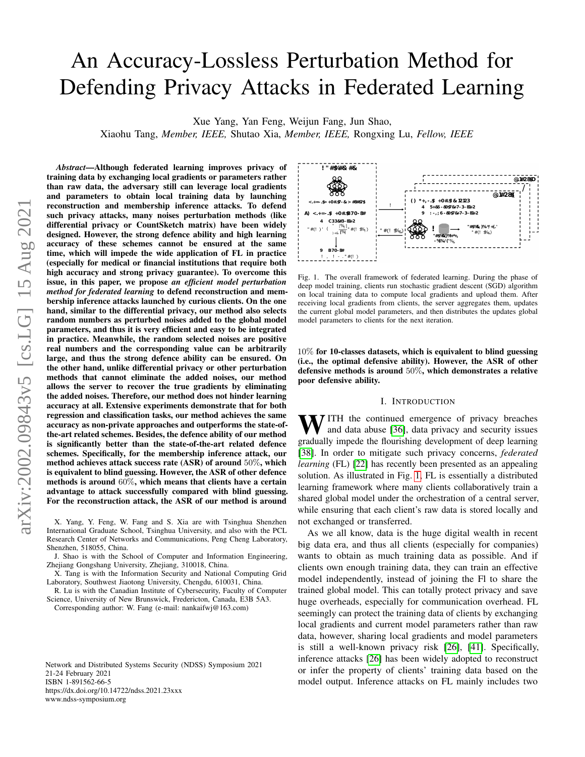# An Accuracy-Lossless Perturbation Method for Defending Privacy Attacks in Federated Learning

Xue Yang, Yan Feng, Weijun Fang, Jun Shao,

Xiaohu Tang, *Member, IEEE,* Shutao Xia, *Member, IEEE,* Rongxing Lu, *Fellow, IEEE*

*Abstract*—Although federated learning improves privacy of training data by exchanging local gradients or parameters rather than raw data, the adversary still can leverage local gradients and parameters to obtain local training data by launching reconstruction and membership inference attacks. To defend such privacy attacks, many noises perturbation methods (like differential privacy or CountSketch matrix) have been widely designed. However, the strong defence ability and high learning accuracy of these schemes cannot be ensured at the same time, which will impede the wide application of FL in practice (especially for medical or financial institutions that require both high accuracy and strong privacy guarantee). To overcome this issue, in this paper, we propose *an efficient model perturbation method for federated learning* to defend reconstruction and membership inference attacks launched by curious clients. On the one hand, similar to the differential privacy, our method also selects random numbers as perturbed noises added to the global model parameters, and thus it is very efficient and easy to be integrated in practice. Meanwhile, the random selected noises are positive real numbers and the corresponding value can be arbitrarily large, and thus the strong defence ability can be ensured. On the other hand, unlike differential privacy or other perturbation methods that cannot eliminate the added noises, our method allows the server to recover the true gradients by eliminating the added noises. Therefore, our method does not hinder learning accuracy at all. Extensive experiments demonstrate that for both regression and classification tasks, our method achieves the same accuracy as non-private approaches and outperforms the state-ofthe-art related schemes. Besides, the defence ability of our method is significantly better than the state-of-the-art related defence schemes. Specifically, for the membership inference attack, our method achieves attack success rate (ASR) of around 50%, which is equivalent to blind guessing. However, the ASR of other defence methods is around 60%, which means that clients have a certain advantage to attack successfully compared with blind guessing. For the reconstruction attack, the ASR of our method is around

X. Yang, Y. Feng, W. Fang and S. Xia are with Tsinghua Shenzhen International Graduate School, Tsinghua University, and also with the PCL Research Center of Networks and Communications, Peng Cheng Laboratory, Shenzhen, 518055, China.

J. Shao is with the School of Computer and Information Engineering, Zhejiang Gongshang University, Zhejiang, 310018, China.

X. Tang is with the Information Security and National Computing Grid Laboratory, Southwest Jiaotong University, Chengdu, 610031, China.

R. Lu is with the Canadian Institute of Cybersecurity, Faculty of Computer Science, University of New Brunswick, Fredericton, Canada, E3B 5A3.

Corresponding author: W. Fang (e-mail: nankaifwj@163.com)

Network and Distributed Systems Security (NDSS) Symposium 2021 21-24 February 2021 ISBN 1-891562-66-5 https://dx.doi.org/10.14722/ndss.2021.23xxx www.ndss-symposium.org



<span id="page-0-0"></span>Fig. 1. The overall framework of federated learning. During the phase of deep model training, clients run stochastic gradient descent (SGD) algorithm on local training data to compute local gradients and upload them. After receiving local gradients from clients, the server aggregates them, updates the current global model parameters, and then distributes the updates global model parameters to clients for the next iteration.

10% for 10-classes datasets, which is equivalent to blind guessing (i.e., the optimal defensive ability). However, the ASR of other defensive methods is around 50%, which demonstrates a relative poor defensive ability.

## I. INTRODUCTION

**NV** ITH the continued emergence of privacy breaches and data abuse [\[36\]](#page-11-0), data privacy and security issues gradually impede the flourishing development of deep learning [\[38\]](#page-11-1). In order to mitigate such privacy concerns, *federated learning* (FL) [\[22\]](#page-11-2) has recently been presented as an appealing solution. As illustrated in Fig. [1,](#page-0-0) FL is essentially a distributed learning framework where many clients collaboratively train a shared global model under the orchestration of a central server, while ensuring that each client's raw data is stored locally and not exchanged or transferred.

As we all know, data is the huge digital wealth in recent big data era, and thus all clients (especially for companies) wants to obtain as much training data as possible. And if clients own enough training data, they can train an effective model independently, instead of joining the Fl to share the trained global model. This can totally protect privacy and save huge overheads, especially for communication overhead. FL seemingly can protect the training data of clients by exchanging local gradients and current model parameters rather than raw data, however, sharing local gradients and model parameters is still a well-known privacy risk [\[26\]](#page-11-3), [\[41\]](#page-11-4). Specifically, inference attacks [\[26\]](#page-11-3) has been widely adopted to reconstruct or infer the property of clients' training data based on the model output. Inference attacks on FL mainly includes two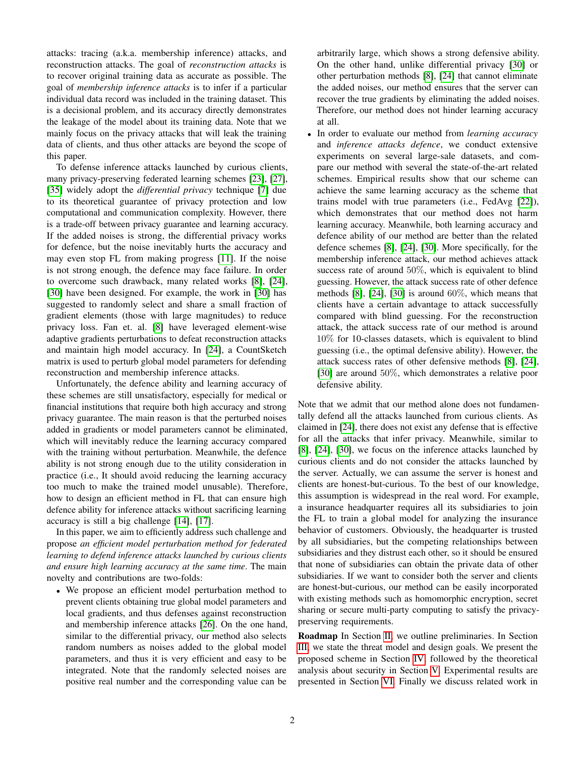attacks: tracing (a.k.a. membership inference) attacks, and reconstruction attacks. The goal of *reconstruction attacks* is to recover original training data as accurate as possible. The goal of *membership inference attacks* is to infer if a particular individual data record was included in the training dataset. This is a decisional problem, and its accuracy directly demonstrates the leakage of the model about its training data. Note that we mainly focus on the privacy attacks that will leak the training data of clients, and thus other attacks are beyond the scope of this paper.

To defense inference attacks launched by curious clients, many privacy-preserving federated learning schemes [\[23\]](#page-11-5), [\[27\]](#page-11-6), [\[35\]](#page-11-7) widely adopt the *differential privacy* technique [\[7\]](#page-10-0) due to its theoretical guarantee of privacy protection and low computational and communication complexity. However, there is a trade-off between privacy guarantee and learning accuracy. If the added noises is strong, the differential privacy works for defence, but the noise inevitably hurts the accuracy and may even stop FL from making progress [\[11\]](#page-10-1). If the noise is not strong enough, the defence may face failure. In order to overcome such drawback, many related works [\[8\]](#page-10-2), [\[24\]](#page-11-8), [\[30\]](#page-11-9) have been designed. For example, the work in [30] has suggested to randomly select and share a small fraction of gradient elements (those with large magnitudes) to reduce privacy loss. Fan et. al. [\[8\]](#page-10-2) have leveraged element-wise adaptive gradients perturbations to defeat reconstruction attacks and maintain high model accuracy. In [\[24\]](#page-11-8), a CountSketch matrix is used to perturb global model parameters for defending reconstruction and membership inference attacks.

Unfortunately, the defence ability and learning accuracy of these schemes are still unsatisfactory, especially for medical or financial institutions that require both high accuracy and strong privacy guarantee. The main reason is that the perturbed noises added in gradients or model parameters cannot be eliminated, which will inevitably reduce the learning accuracy compared with the training without perturbation. Meanwhile, the defence ability is not strong enough due to the utility consideration in practice (i.e., It should avoid reducing the learning accuracy too much to make the trained model unusable). Therefore, how to design an efficient method in FL that can ensure high defence ability for inference attacks without sacrificing learning accuracy is still a big challenge [\[14\]](#page-11-10), [\[17\]](#page-11-11).

In this paper, we aim to efficiently address such challenge and propose *an efficient model perturbation method for federated learning to defend inference attacks launched by curious clients and ensure high learning accuracy at the same time*. The main novelty and contributions are two-folds:

• We propose an efficient model perturbation method to prevent clients obtaining true global model parameters and local gradients, and thus defenses against reconstruction and membership inference attacks [\[26\]](#page-11-3). On the one hand, similar to the differential privacy, our method also selects random numbers as noises added to the global model parameters, and thus it is very efficient and easy to be integrated. Note that the randomly selected noises are positive real number and the corresponding value can be

arbitrarily large, which shows a strong defensive ability. On the other hand, unlike differential privacy [\[30\]](#page-11-9) or other perturbation methods [\[8\]](#page-10-2), [\[24\]](#page-11-8) that cannot eliminate the added noises, our method ensures that the server can recover the true gradients by eliminating the added noises. Therefore, our method does not hinder learning accuracy at all.

• In order to evaluate our method from *learning accuracy* and *inference attacks defence*, we conduct extensive experiments on several large-sale datasets, and compare our method with several the state-of-the-art related schemes. Empirical results show that our scheme can achieve the same learning accuracy as the scheme that trains model with true parameters (i.e., FedAvg [\[22\]](#page-11-2)), which demonstrates that our method does not harm learning accuracy. Meanwhile, both learning accuracy and defence ability of our method are better than the related defence schemes [\[8\]](#page-10-2), [\[24\]](#page-11-8), [\[30\]](#page-11-9). More specifically, for the membership inference attack, our method achieves attack success rate of around 50%, which is equivalent to blind guessing. However, the attack success rate of other defence methods  $[8]$ ,  $[24]$ ,  $[30]$  is around  $60\%$ , which means that clients have a certain advantage to attack successfully compared with blind guessing. For the reconstruction attack, the attack success rate of our method is around 10% for 10-classes datasets, which is equivalent to blind guessing (i.e., the optimal defensive ability). However, the attack success rates of other defensive methods [\[8\]](#page-10-2), [\[24\]](#page-11-8), [\[30\]](#page-11-9) are around 50%, which demonstrates a relative poor defensive ability.

Note that we admit that our method alone does not fundamentally defend all the attacks launched from curious clients. As claimed in [\[24\]](#page-11-8), there does not exist any defense that is effective for all the attacks that infer privacy. Meanwhile, similar to [\[8\]](#page-10-2), [\[24\]](#page-11-8), [\[30\]](#page-11-9), we focus on the inference attacks launched by curious clients and do not consider the attacks launched by the server. Actually, we can assume the server is honest and clients are honest-but-curious. To the best of our knowledge, this assumption is widespread in the real word. For example, a insurance headquarter requires all its subsidiaries to join the FL to train a global model for analyzing the insurance behavior of customers. Obviously, the headquarter is trusted by all subsidiaries, but the competing relationships between subsidiaries and they distrust each other, so it should be ensured that none of subsidiaries can obtain the private data of other subsidiaries. If we want to consider both the server and clients are honest-but-curious, our method can be easily incorporated with existing methods such as homomorphic encryption, secret sharing or secure multi-party computing to satisfy the privacypreserving requirements.

Roadmap In Section [II,](#page-2-0) we outline preliminaries. In Section [III,](#page-3-0) we state the threat model and design goals. We present the proposed scheme in Section [IV,](#page-3-1) followed by the theoretical analysis about security in Section [V.](#page-5-0) Experimental results are presented in Section [VI.](#page-7-0) Finally we discuss related work in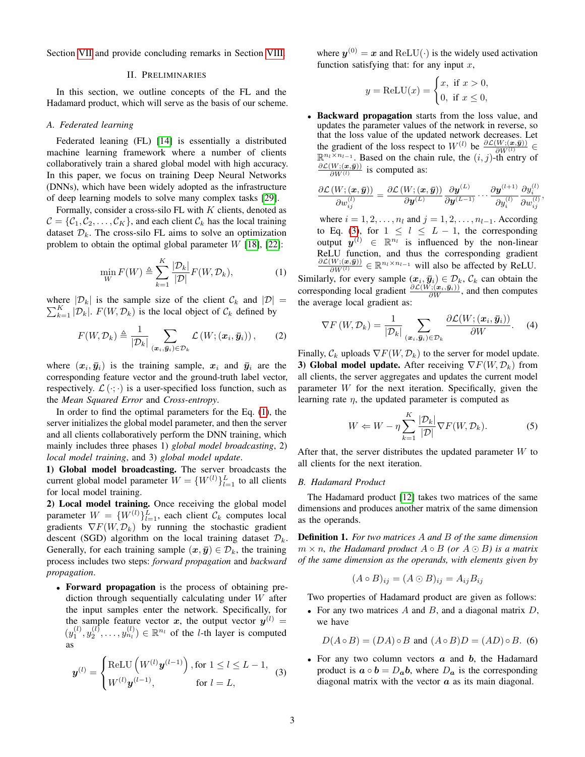<span id="page-2-0"></span>Section [VII](#page-9-0) and provide concluding remarks in Section [VIII.](#page-10-3)

#### II. PRELIMINARIES

In this section, we outline concepts of the FL and the Hadamard product, which will serve as the basis of our scheme.

## <span id="page-2-3"></span>*A. Federated learning*

Federated leaning (FL) [\[14\]](#page-11-10) is essentially a distributed machine learning framework where a number of clients collaboratively train a shared global model with high accuracy. In this paper, we focus on training Deep Neural Networks (DNNs), which have been widely adopted as the infrastructure of deep learning models to solve many complex tasks [\[29\]](#page-11-12).

Formally, consider a cross-silo FL with  $K$  clients, denoted as  $C = \{C_1, C_2, \ldots, C_K\}$ , and each client  $C_k$  has the local training dataset  $\mathcal{D}_k$ . The cross-silo FL aims to solve an optimization problem to obtain the optimal global parameter  $W$  [\[18\]](#page-11-13), [\[22\]](#page-11-2):

$$
\min_{W} F(W) \triangleq \sum_{k=1}^{K} \frac{|\mathcal{D}_k|}{|\mathcal{D}|} F(W, \mathcal{D}_k),\tag{1}
$$

where  $|\mathcal{D}_k|$  is the sample size of the client  $\mathcal{C}_k$  and  $|\mathcal{D}| =$  $\sum_{k=1}^{K} |\mathcal{D}_k|$ .  $F(W, \mathcal{D}_k)$  is the local object of  $\mathcal{C}_k$  defined by

$$
F(W, \mathcal{D}_k) \triangleq \frac{1}{|\mathcal{D}_k|} \sum_{(\boldsymbol{x}_i, \boldsymbol{\bar{y}}_i) \in \mathcal{D}_k} \mathcal{L}(W; (\boldsymbol{x}_i, \boldsymbol{\bar{y}}_i)), \qquad (2)
$$

where  $(x_i, \bar{y}_i)$  is the training sample,  $x_i$  and  $\bar{y}_i$  are the corresponding feature vector and the ground-truth label vector, respectively.  $\mathcal{L}(\cdot; \cdot)$  is a user-specified loss function, such as the *Mean Squared Error* and *Cross-entropy*.

In order to find the optimal parameters for the Eq. [\(1\)](#page-2-1), the server initializes the global model parameter, and then the server and all clients collaboratively perform the DNN training, which mainly includes three phases 1) *global model broadcasting*, 2) *local model training*, and 3) *global model update*.

1) Global model broadcasting. The server broadcasts the current global model parameter  $W = \{W^{(l)}\}_{l=1}^L$  to all clients for local model training.

2) Local model training. Once receiving the global model parameter  $W = \{W^{(l)}\}_{l=1}^L$ , each client  $\mathcal{C}_k$  computes local gradients  $\nabla F(W, \mathcal{D}_k)$  by running the stochastic gradient descent (SGD) algorithm on the local training dataset  $\mathcal{D}_k$ . Generally, for each training sample  $(x, \bar{y}) \in \mathcal{D}_k$ , the training process includes two steps: *forward propagation* and *backward propagation*.

• Forward propagation is the process of obtaining prediction through sequentially calculating under W after the input samples enter the network. Specifically, for the sample feature vector x, the output vector  $y^{(l)} =$  $(y_1^{(l)}, y_2^{(l)}, \ldots, y_{n_l}^{(l)}) \in \mathbb{R}^{n_l}$  of the *l*-th layer is computed as

<span id="page-2-2"></span>
$$
\mathbf{y}^{(l)} = \begin{cases} \text{ReLU}\left(W^{(l)}\mathbf{y}^{(l-1)}\right), \text{for } 1 \le l \le L-1, \\ W^{(l)}\mathbf{y}^{(l-1)}, \text{for } l = L, \end{cases}
$$
 (3)

where  $y^{(0)} = x$  and ReLU( $\cdot$ ) is the widely used activation function satisfying that: for any input  $x$ ,

$$
y = \text{ReLU}(x) = \begin{cases} x, & \text{if } x > 0, \\ 0, & \text{if } x \le 0, \end{cases}
$$

• Backward propagation starts from the loss value, and updates the parameter values of the network in reverse, so that the loss value of the updated network decreases. Let the gradient of the loss respect to  $W^{(l)}$  be  $\frac{\partial \mathcal{L}(W; (\boldsymbol{x}, \bar{\boldsymbol{y}}))}{\partial W^{(l)}} \in \mathbb{R}^{n_l \times n_{l-1}}$ . Based on the chain rule, the  $(i, j)$ -th entry of  $\partial \mathcal{L}(W; (\bm{x},\bar{\bm{y}}))$  $\frac{W(0;\bm{x},\bm{y})}{\partial W^{(l)}}$  is computed as:

$$
\frac{\partial \mathcal{L}\left(W; \left(\boldsymbol{x}, \bar{\boldsymbol{y}}\right)\right)}{\partial w_{ij}^{(l)}} = \frac{\partial \mathcal{L}\left(W; \left(\boldsymbol{x}, \bar{\boldsymbol{y}}\right)\right)}{\partial \boldsymbol{y}^{(L)}} \frac{\partial \boldsymbol{y}^{(L)}}{\partial y^{(L-1)}} \cdots \frac{\partial \boldsymbol{y}^{(l+1)}}{\partial y_i^{(l)}} \frac{\partial y_i^{(l)}}{\partial w_{ij}^{(l)}}
$$

,

<span id="page-2-1"></span>where  $i = 1, 2, \ldots, n_l$  and  $j = 1, 2, \ldots, n_{l-1}$ . According to Eq. [\(3\)](#page-2-2), for  $1 \leq l \leq L-1$ , the corresponding output  $y^{(l)} \in \mathbb{R}^{n_l}$  is influenced by the non-linear ReLU function, and thus the corresponding gradient  $\frac{\partial \mathcal{L}(W; (\boldsymbol{x}, \bar{\boldsymbol{y}}))}{\partial W^{(l)}} \in \mathbb{R}^{n_l \times n_{l-1}}$  will also be affected by ReLU.

Similarly, for every sample  $(x_i, \bar{y}_i) \in \mathcal{D}_k$ ,  $\mathcal{C}_k$  can obtain the corresponding local gradient  $\frac{\partial \mathcal{L}(W; (\mathbf{x}_i, \bar{\mathbf{y}}_i))}{\partial W}$ , and then computes the average local gradient as:

<span id="page-2-4"></span>
$$
\nabla F\left(W,\mathcal{D}_{k}\right)=\frac{1}{|\mathcal{D}_{k}|}\sum_{\left(\boldsymbol{x}_{i},\boldsymbol{\bar{y}}_{i}\right)\in\mathcal{D}_{k}}\frac{\partial\mathcal{L}(W;\left(\boldsymbol{x}_{i},\boldsymbol{\bar{y}}_{i}\right))}{\partial W}.\tag{4}
$$

Finally,  $\mathcal{C}_k$  uploads  $\nabla F(W, \mathcal{D}_k)$  to the server for model update. 3) Global model update. After receiving  $\nabla F(W, \mathcal{D}_k)$  from all clients, the server aggregates and updates the current model parameter W for the next iteration. Specifically, given the learning rate  $\eta$ , the updated parameter is computed as

<span id="page-2-5"></span>
$$
W \Leftarrow W - \eta \sum_{k=1}^{K} \frac{|\mathcal{D}_k|}{|\mathcal{D}|} \nabla F(W, \mathcal{D}_k). \tag{5}
$$

After that, the server distributes the updated parameter  $W$  to all clients for the next iteration.

## *B. Hadamard Product*

The Hadamard product [\[12\]](#page-10-4) takes two matrices of the same dimensions and produces another matrix of the same dimension as the operands.

<span id="page-2-6"></span>Definition 1. *For two matrices* A *and* B *of the same dimension*  $m \times n$ , the Hadamard product  $A \circ B$  (or  $A \odot B$ ) is a matrix *of the same dimension as the operands, with elements given by*

$$
(A \circ B)_{ij} = (A \odot B)_{ij} = A_{ij}B_{ij}
$$

Two properties of Hadamard product are given as follows:

• For any two matrices  $A$  and  $B$ , and a diagonal matrix  $D$ , we have

 $D(A \circ B) = (DA) \circ B$  and  $(A \circ B)D = (AD) \circ B$ . (6)

• For any two column vectors  $a$  and  $b$ , the Hadamard product is  $\mathbf{a} \circ \mathbf{b} = D_{\mathbf{a}} \mathbf{b}$ , where  $D_{\mathbf{a}}$  is the corresponding diagonal matrix with the vector  $\alpha$  as its main diagonal.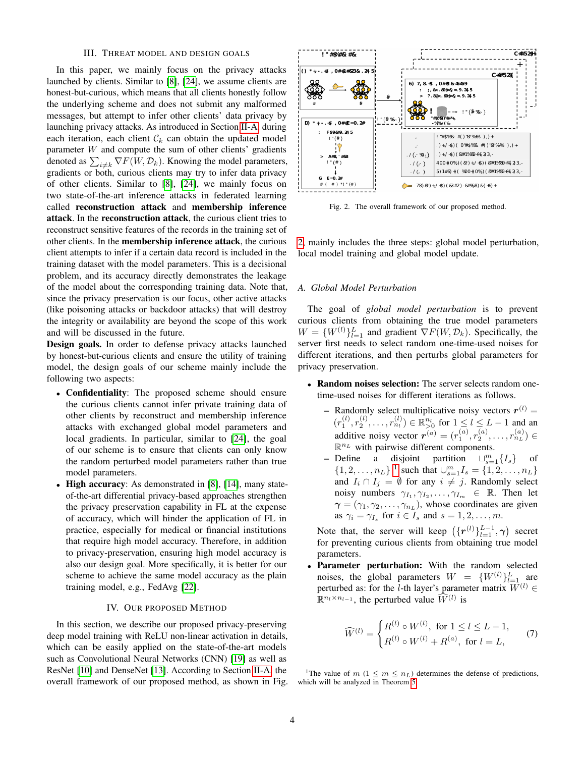# III. THREAT MODEL AND DESIGN GOALS

<span id="page-3-0"></span>In this paper, we mainly focus on the privacy attacks launched by clients. Similar to [\[8\]](#page-10-2), [\[24\]](#page-11-8), we assume clients are honest-but-curious, which means that all clients honestly follow the underlying scheme and does not submit any malformed messages, but attempt to infer other clients' data privacy by launching privacy attacks. As introduced in Section [II-A,](#page-2-3) during each iteration, each client  $\mathcal{C}_k$  can obtain the updated model parameter W and compute the sum of other clients' gradients denoted as  $\sum_{i \neq k} \nabla F(W, \mathcal{D}_k)$ . Knowing the model parameters, gradients or both, curious clients may try to infer data privacy of other clients. Similar to [\[8\]](#page-10-2), [\[24\]](#page-11-8), we mainly focus on two state-of-the-art inference attacks in federated learning called reconstruction attack and membership inference attack. In the reconstruction attack, the curious client tries to reconstruct sensitive features of the records in the training set of other clients. In the membership inference attack, the curious client attempts to infer if a certain data record is included in the training dataset with the model parameters. This is a decisional problem, and its accuracy directly demonstrates the leakage of the model about the corresponding training data. Note that, since the privacy preservation is our focus, other active attacks (like poisoning attacks or backdoor attacks) that will destroy the integrity or availability are beyond the scope of this work and will be discussed in the future.

Design goals. In order to defense privacy attacks launched by honest-but-curious clients and ensure the utility of training model, the design goals of our scheme mainly include the following two aspects:

- Confidentiality: The proposed scheme should ensure the curious clients cannot infer private training data of other clients by reconstruct and membership inference attacks with exchanged global model parameters and local gradients. In particular, similar to [\[24\]](#page-11-8), the goal of our scheme is to ensure that clients can only know the random perturbed model parameters rather than true model parameters.
- High accuracy: As demonstrated in [\[8\]](#page-10-2), [\[14\]](#page-11-10), many stateof-the-art differential privacy-based approaches strengthen the privacy preservation capability in FL at the expense of accuracy, which will hinder the application of FL in practice, especially for medical or financial institutions that require high model accuracy. Therefore, in addition to privacy-preservation, ensuring high model accuracy is also our design goal. More specifically, it is better for our scheme to achieve the same model accuracy as the plain training model, e.g., FedAvg [\[22\]](#page-11-2).

#### IV. OUR PROPOSED METHOD

<span id="page-3-1"></span>In this section, we describe our proposed privacy-preserving deep model training with ReLU non-linear activation in details, which can be easily applied on the state-of-the-art models such as Convolutional Neural Networks (CNN) [\[19\]](#page-11-14) as well as ResNet [\[10\]](#page-10-5) and DenseNet [\[13\]](#page-10-6). According to Section [II-A,](#page-2-3) the overall framework of our proposed method, as shown in Fig.



<span id="page-3-2"></span>Fig. 2. The overall framework of our proposed method.

[2,](#page-3-2) mainly includes the three steps: global model perturbation, local model training and global model update.

## <span id="page-3-4"></span>*A. Global Model Perturbation*

The goal of *global model perturbation* is to prevent curious clients from obtaining the true model parameters  $W = \{W^{(l)}\}_{l=1}^L$  and gradient  $\nabla F(W, \mathcal{D}_k)$ . Specifically, the server first needs to select random one-time-used noises for different iterations, and then perturbs global parameters for privacy preservation.

- Random noises selection: The server selects random onetime-used noises for different iterations as follows.
	- Randomly select multiplicative noisy vectors  $r^{(l)}$  =  $(r_1^{(l)}, r_2^{(l)}, \ldots, r_{n_l}^{(l)}) \in \mathbb{R}_{>0}^{n_l}$  for  $1 \leq l \leq L-1$  and an additive noisy vector  $r^{(a)} = (r_1^{(a)}, r_2^{(a)}, \dots, r_{n_L}^{(a)}) \in$  $\mathbb{R}^{n_L}$  with pairwise different components.
	- Define a disjoint partition  $\bigcup_{s=1}^{m} \{I_s\}$  of  $\{1, 2, \ldots, n_L\}$  $\{1, 2, \ldots, n_L\}$  $\{1, 2, \ldots, n_L\}$ <sup>1</sup> such that  $\bigcup_{s=1}^m I_s = \{1, 2, \ldots, n_L\}$ and  $I_i \cap I_j = \emptyset$  for any  $i \neq j$ . Randomly select noisy numbers  $\gamma_{I_1}, \gamma_{I_2}, \ldots, \gamma_{I_m} \in \mathbb{R}$ . Then let  $\gamma = (\gamma_1, \gamma_2, \dots, \gamma_{n_L})$ , whose coordinates are given as  $\gamma_i = \gamma_{I_s}$  for  $i \in I_s$  and  $s = 1, 2, \dots, m$ .

Note that, the server will keep  $(\lbrace \boldsymbol{r}^{(l)} \rbrace_{l=1}^{L-1}, \boldsymbol{\gamma})$  secret for preventing curious clients from obtaining true model parameters.

Parameter perturbation: With the random selected noises, the global parameters  $W = \{W^{(l)}\}_{l=1}^L$  are perturbed as: for the l-th layer's parameter matrix  $W^{(l)}$  ∈  $\mathbb{R}^{n_l \times n_{l-1}}$ , the perturbed value  $\widehat{W}^{(l)}$  is

<span id="page-3-5"></span>
$$
\widehat{W}^{(l)} = \begin{cases} R^{(l)} \circ W^{(l)}, \text{ for } 1 \le l \le L - 1, \\ R^{(l)} \circ W^{(l)} + R^{(a)}, \text{ for } l = L, \end{cases}
$$
(7)

<span id="page-3-3"></span><sup>1</sup>The value of  $m$  ( $1 \le m \le n_L$ ) determines the defense of predictions, which will be analyzed in Theorem [5.](#page-6-0)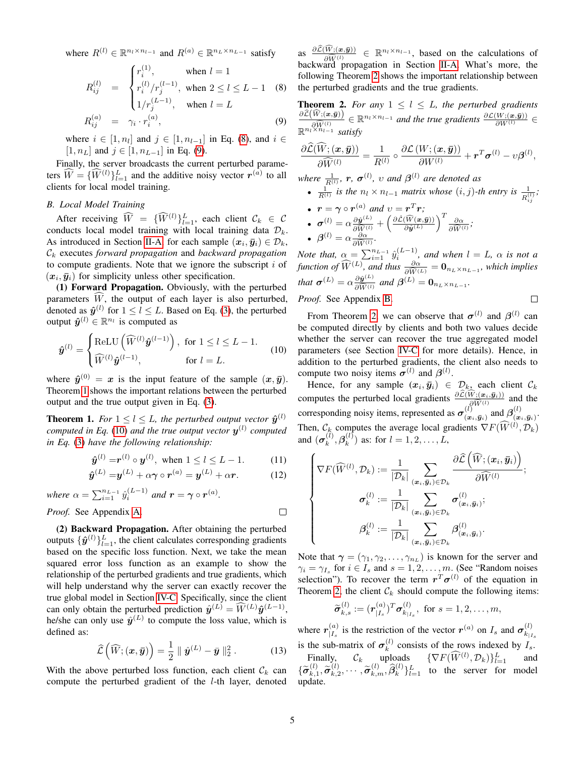where  $R^{(l)} \in \mathbb{R}^{n_l \times n_{l-1}}$  and  $R^{(a)} \in \mathbb{R}^{n_l \times n_{l-1}}$  satisfy

<span id="page-4-0"></span>
$$
R_{ij}^{(l)} = \begin{cases} r_i^{(1)}, & \text{when } l = 1\\ r_i^{(l)}/r_j^{(l-1)}, & \text{when } 2 \le l \le L - 1\\ 8, & \text{then } l = L \end{cases}
$$
  
\n
$$
R_{ij}^{(a)} = \gamma_i \cdot r_i^{(a)}, \qquad \text{when } l = L \tag{9}
$$

where  $i \in [1, n_l]$  and  $j \in [1, n_{l-1}]$  in Eq. [\(8\)](#page-4-0), and  $i \in$  $[1, n_L]$  and  $j \in [1, n_{L-1}]$  in Eq. [\(9\)](#page-4-0).

Finally, the server broadcasts the current perturbed parameters  $\widehat{W} = \{\widehat{W}^{(l)}\}_{l=1}^{L}$  and the additive noisy vector  $r^{(a)}$  to all clients for local model training.

# *B. Local Model Training*

After receiving  $\widehat{W} = \{\widehat{W}^{(l)}\}_{l=1}^L$ , each client  $\mathcal{C}_k \in \mathcal{C}$ conducts local model training with local training data  $\mathcal{D}_k$ . As introduced in Section [II-A,](#page-2-3) for each sample  $(x_i, \bar{y}_i) \in \mathcal{D}_k$ , C<sup>k</sup> executes *forward propagation* and *backward propagation* to compute gradients. Note that we ignore the subscript  $i$  of  $(x_i, \bar{y}_i)$  for simplicity unless other specification.

(1) Forward Propagation. Obviously, with the perturbed parameters  $\widehat{W}$ , the output of each layer is also perturbed, denoted as  $\hat{\mathbf{y}}^{(l)}$  for  $1 \leq l \leq L$ . Based on Eq. [\(3\)](#page-2-2), the perturbed output  $\hat{\boldsymbol{y}}^{(l)} \in \mathbb{R}^{n_l}$  is computed as

$$
\hat{\boldsymbol{y}}^{(l)} = \begin{cases} \text{ReLU}\left(\widehat{W}^{(l)}\hat{\boldsymbol{y}}^{(l-1)}\right), & \text{for } 1 \le l \le L - 1.\\ \widehat{W}^{(l)}\hat{\boldsymbol{y}}^{(l-1)}, & \text{for } l = L. \end{cases}
$$
(10)

where  $\hat{y}^{(0)} = x$  is the input feature of the sample  $(x, \bar{y})$ . Theorem [1](#page-4-1) shows the important relations between the perturbed output and the true output given in Eq. [\(3\)](#page-2-2).

<span id="page-4-1"></span>**Theorem 1.** For  $1 \leq l \leq L$ , the perturbed output vector  $\hat{\mathbf{y}}^{(l)}$ *computed in Eq.* [\(10\)](#page-4-2) and the true output vector  $y^{(l)}$  computed *in Eq.* [\(3\)](#page-2-2) *have the following relationship:*

$$
\hat{\boldsymbol{y}}^{(l)} = \boldsymbol{r}^{(l)} \circ \boldsymbol{y}^{(l)}, \text{ when } 1 \le l \le L - 1.
$$
 (11)

$$
\hat{\boldsymbol{y}}^{(L)} = \boldsymbol{y}^{(L)} + \alpha \boldsymbol{\gamma} \circ \boldsymbol{r}^{(a)} = \boldsymbol{y}^{(L)} + \alpha \boldsymbol{r}.
$$
 (12)

*where*  $\alpha = \sum_{i=1}^{n_{L-1}} \hat{y}_i^{(L-1)}$  *and*  $\mathbf{r} = \boldsymbol{\gamma} \circ \mathbf{r}^{(a)}$ *.* 

*Proof.* See Appendix [A.](#page-11-15)

(2) Backward Propagation. After obtaining the perturbed outputs  $\{\hat{\bm{y}}^{(l)}\}_{l=1}^L$ , the client calculates corresponding gradients based on the specific loss function. Next, we take the mean squared error loss function as an example to show the relationship of the perturbed gradients and true gradients, which will help understand why the server can exactly recover the true global model in Section [IV-C.](#page-5-1) Specifically, since the client can only obtain the perturbed prediction  $\hat{y}^{(L)} = \hat{W}^{(L)} \hat{y}^{(L-1)}$ , he/she can only use  $\hat{y}^{(L)}$  to compute the loss value, which is defined as:

<span id="page-4-6"></span>
$$
\widehat{\mathcal{L}}\left(\widehat{W}; (\boldsymbol{x}, \bar{\boldsymbol{y}})\right) = \frac{1}{2} \parallel \hat{\boldsymbol{y}}^{(L)} - \bar{\boldsymbol{y}} \parallel_2^2. \tag{13}
$$

With the above perturbed loss function, each client  $\mathcal{C}_k$  can compute the perturbed gradient of the  $l$ -th layer, denoted

as  $\frac{\partial \mathcal{L}(W_i(x,\bar{y}))}{\partial \bar{W}(l)} \in \mathbb{R}^{n_l \times n_{l-1}}$ , based on the calculations of backward propagation in Section [II-A.](#page-2-3) What's more, the following Theorem [2](#page-4-3) shows the important relationship between the perturbed gradients and the true gradients.

<span id="page-4-3"></span>**Theorem 2.** For any  $1 \leq l \leq L$ , the perturbed gradients  $\frac{\partial \hat{\mathcal{L}}(\widehat{W}; (\boldsymbol{x}, \bar{\boldsymbol{y}}))}{\partial \widehat{W}^{(l)}}$  ∈  $\mathbb{R}^{n_l \times n_{l-1}}$  *and the true gradients*  $\frac{\partial \mathcal{L}(W; (\boldsymbol{x}, \bar{\boldsymbol{y}}))}{\partial W^{(l)}}$  ∈  $\mathbb{R}^{n_l \times n_{l-1}}$  *satisfy* 

$$
\frac{\partial \widehat{\mathcal{L}}(\widehat{W}; (\boldsymbol{x}, \bar{\boldsymbol{y}}))}{\partial \widehat{W}^{(l)}} = \frac{1}{R^{(l)}} \circ \frac{\partial \mathcal{L}(W; (\boldsymbol{x}, \bar{\boldsymbol{y}}))}{\partial W^{(l)}} + \boldsymbol{r}^T \boldsymbol{\sigma}^{(l)} - \upsilon \boldsymbol{\beta}^{(l)},
$$

*where*  $\frac{1}{R^{(l)}}$ , **r**,  $\sigma^{(l)}$ , *v* and  $\beta^{(l)}$  are denoted as

•  $\frac{1}{R^{(l)}}$  is the  $n_l \times n_{l-1}$  *matrix whose*  $(i, j)$ -th entry is  $\frac{1}{R^{(l)}_{ij}}$ ;

\n- \n
$$
\mathbf{r} = \gamma \circ \mathbf{r}^{(a)} \text{ and } v = \mathbf{r}^T \mathbf{r};
$$
\n
\n- \n
$$
\boldsymbol{\sigma}^{(l)} = \alpha \frac{\partial \hat{\mathbf{y}}^{(L)}}{\partial \overline{\hat{\mathbf{w}}^{(l)}}} + \left( \frac{\partial \hat{\mathcal{L}}(\widehat{\mathbf{w}}(\mathbf{x}, \overline{\mathbf{y}}))}{\partial \hat{\mathbf{y}}^{(L)}} \right)^T \frac{\partial \alpha}{\partial \overline{\hat{\mathbf{w}}^{(l)}}};
$$
\n
\n- \n
$$
\boldsymbol{\beta}^{(l)} = \alpha \frac{\partial \alpha}{\partial \overline{\hat{\mathbf{w}}^{(l)}}}.
$$
\n
\n

*Note that,*  $\alpha = \sum_{i=1}^{n_{L-1}} \hat{y}_i^{(L-1)}$ *, and when*  $l = L$ *,*  $\alpha$  *is not a function of*  $\widehat{W}^{(L)}$ *, and thus*  $\frac{\partial \alpha}{\partial \widehat{W}^{(L)}} = \mathbf{0}_{n_L \times n_{L-1}}$ *, which implies that*  $\sigma^{(L)} = \alpha \frac{\partial \hat{y}^{(L)}}{\partial \widehat{W}^{(L)}}$  $\frac{\partial \hat{\mathbf{y}}^{(L)}}{\partial \widehat{W}^{(l)}}$  and  $\boldsymbol{\beta}^{(L)} = \mathbf{0}_{n_L \times n_{L-1}}$ .

 $\Box$ 

*Proof.* See Appendix [B.](#page-12-0)

<span id="page-4-2"></span>From Theorem [2,](#page-4-3) we can observe that  $\sigma^{(l)}$  and  $\beta^{(l)}$  can be computed directly by clients and both two values decide whether the server can recover the true aggregated model parameters (see Section [IV-C](#page-5-1) for more details). Hence, in addition to the perturbed gradients, the client also needs to compute two noisy items  $\sigma^{(l)}$  and  $\beta^{(l)}$ .

Hence, for any sample  $(x_i, \bar{y}_i) \in \mathcal{D}_{k_2}$  each client  $\mathcal{C}_k$ computes the perturbed local gradients  $\frac{\partial \mathcal{L}(W;(\mathbf{x}_i,\bar{\mathbf{y}}_i))}{\partial \widehat{W}^{(l)}}$  and the corresponding noisy items, represented as  $\sigma_{\alpha}^{(l)}$  $\binom{l}{(\bm{x}_i, \bar{\bm{y}}_i)}$  and  $\boldsymbol{\beta}^{(l)}_{(\bm{x})}$  $\stackrel{(t)}{( \bm{x}_i, \bar{\bm{y}}_i )}.$ Then,  $\mathcal{C}_k$  computes the average local gradients  $\nabla F(\widehat{W}^{(l)}, \mathcal{D}_k)$ and  $(\sigma_k^{(l)}$  $_{k}^{\left( l\right) },\boldsymbol{\beta}_{k}^{\left( l\right) }$  $k^{(l)}$  as: for  $l = 1, 2, ..., L$ ,

<span id="page-4-5"></span><span id="page-4-4"></span>
$$
\left\{\begin{aligned} \nabla F(\widehat{W}^{(l)}, \mathcal{D}_k) &:= \frac{1}{|\mathcal{D}_k|} \sum_{(\boldsymbol{x}_i, \boldsymbol{\bar{y}}_i) \in \mathcal{D}_k} \frac{\partial \widehat{\mathcal{L}}\left(\widehat{W}; (\boldsymbol{x}_i, \boldsymbol{\bar{y}}_i)\right)}{\partial \widehat{W}^{(l)}}; \\ \boldsymbol{\sigma}_k^{(l)} &:= \frac{1}{|\mathcal{D}_k|} \sum_{(\boldsymbol{x}_i, \boldsymbol{\bar{y}}_i) \in \mathcal{D}_k} \boldsymbol{\sigma}_{(\boldsymbol{x}_i, \boldsymbol{\bar{y}}_i)}^{(l)}; \\ \boldsymbol{\beta}_k^{(l)} &:= \frac{1}{|\mathcal{D}_k|} \sum_{(\boldsymbol{x}_i, \boldsymbol{\bar{y}}_i) \in \mathcal{D}_k} \boldsymbol{\beta}_{(\boldsymbol{x}_i, \boldsymbol{\bar{y}}_i)}^{(l)}. \end{aligned}\right.
$$

Note that  $\gamma = (\gamma_1, \gamma_2, \dots, \gamma_{n_L})$  is known for the server and  $\gamma_i = \gamma_{I_s}$  for  $i \in I_s$  and  $s = 1, 2, \dots, m$ . (See "Random noises selection"). To recover the term  $r^T\sigma^{(l)}$  of the equation in Theorem [2,](#page-4-3) the client  $\mathcal{C}_k$  should compute the following items:

$$
\widetilde{\sigma}_{k,s}^{(l)} := (r_{|I_s}^{(a)})^T \sigma_{k_{|I_s}}^{(l)}, \text{ for } s = 1, 2, \ldots, m,
$$

where  $r_{\mid I}^{(a)}$  $\binom{a}{I_s}$  is the restriction of the vector  $r^{(a)}$  on  $I_s$  and  $\sigma_{k|I_s}^{(l)}$  $k_{|I_s}$ is the sub-matrix of  $\sigma_k^{(l)}$  $k^{(t)}$  consists of the rows indexed by  $I_s$ . Finally,  $\mathcal{C}_k$  uploads  $\{\nabla F(\widehat{W}^{(l)}, \mathcal{D}_k)\}_{l=1}^L$  and

 $\{\widetilde{\bm{\sigma}}_{k,1}^{(l)}$  $\widetilde{\sigma}_{k,1}^{(l)}, \widetilde{\sigma}_{k,2}^{(l)}$  $\widetilde{b}_{k,2}^{(l)}, \cdots, \widetilde{\sigma}_{k,m}^{(l)}, \widehat{\beta}_{k}^{(l)}\}_{l=1}^{L}$  to the server for model update.

 $\Box$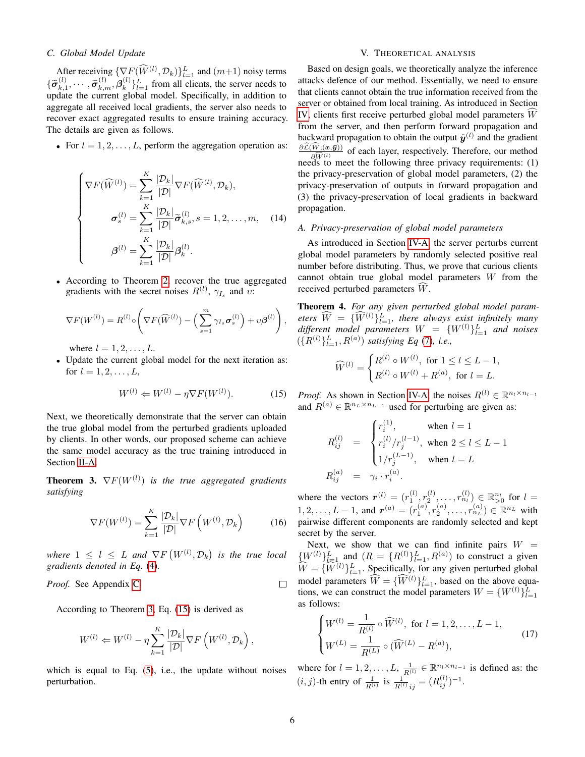# <span id="page-5-1"></span>*C. Global Model Update*

After receiving  $\{ \nabla F(\widehat{W}^{(l)}, \mathcal{D}_k) \}_{l=1}^L$  and  $(m+1)$  noisy terms  $\{\widetilde{\bm{\sigma}}_{k,1}^{(l)}$  $\widetilde{\sigma}_{k,n}^{(l)}, \cdots, \widetilde{\sigma}_{k,m}^{(l)}, \beta_k^{(l)}$  ${k \choose k}_{k=1}^{L}$  from all clients, the server needs to update the current global model. Specifically, in addition to aggregate all received local gradients, the server also needs to recover exact aggregated results to ensure training accuracy. The details are given as follows.

• For  $l = 1, 2, \ldots, L$ , perform the aggregation operation as:

$$
\begin{cases}\n\nabla F(\widehat{W}^{(l)}) = \sum_{k=1}^{K} \frac{|\mathcal{D}_k|}{|\mathcal{D}|} \nabla F(\widehat{W}^{(l)}, \mathcal{D}_k), \\
\sigma_s^{(l)} = \sum_{k=1}^{K} \frac{|\mathcal{D}_k|}{|\mathcal{D}|} \widetilde{\sigma}_{k,s}^{(l)}, s = 1, 2, \dots, m,\n\end{cases} (14)
$$
\n
$$
\boldsymbol{\beta}^{(l)} = \sum_{k=1}^{K} \frac{|\mathcal{D}_k|}{|\mathcal{D}|} \boldsymbol{\beta}_k^{(l)}.
$$

• According to Theorem [2,](#page-4-3) recover the true aggregated gradients with the secret noises  $R^{(l)}$ ,  $\gamma_{I_s}$  and  $\upsilon$ :

$$
\nabla F(W^{(l)}) = R^{(l)} \circ \left( \nabla F(\widehat{W}^{(l)}) - \left( \sum_{s=1}^{m} \gamma_{I_s} \sigma_s^{(l)} \right) + \upsilon \beta^{(l)} \right),
$$

where  $l = 1, 2, \ldots, L$ .

• Update the current global model for the next iteration as: for  $l = 1, 2, ..., L$ ,

<span id="page-5-3"></span>
$$
W^{(l)} \Leftarrow W^{(l)} - \eta \nabla F(W^{(l)}). \tag{15}
$$

Next, we theoretically demonstrate that the server can obtain the true global model from the perturbed gradients uploaded by clients. In other words, our proposed scheme can achieve the same model accuracy as the true training introduced in Section [II-A.](#page-2-3)

<span id="page-5-2"></span>**Theorem 3.**  $\nabla F(W^{(l)})$  is the true aggregated gradients *satisfying*

$$
\nabla F(W^{(l)}) = \sum_{k=1}^{K} \frac{|\mathcal{D}_k|}{|\mathcal{D}|} \nabla F\left(W^{(l)}, \mathcal{D}_k\right) \tag{16}
$$

where  $1 \leq l \leq L$  and  $\nabla F\left(W^{(l)}, \mathcal{D}_k\right)$  is the true local *gradients denoted in Eq.* [\(4\)](#page-2-4)*.*

*Proof.* See Appendix [C.](#page-12-1)

According to Theorem [3,](#page-5-2) Eq. [\(15\)](#page-5-3) is derived as

$$
W^{(l)} \leftarrow W^{(l)} - \eta \sum_{k=1}^{K} \frac{|\mathcal{D}_k|}{|\mathcal{D}|} \nabla F\left(W^{(l)}, \mathcal{D}_k\right),
$$

which is equal to Eq.  $(5)$ , i.e., the update without noises perturbation.

# V. THEORETICAL ANALYSIS

<span id="page-5-0"></span>Based on design goals, we theoretically analyze the inference attacks defence of our method. Essentially, we need to ensure that clients cannot obtain the true information received from the server or obtained from local training. As introduced in Section [IV,](#page-3-1) clients first receive perturbed global model parameters  $W$ from the server, and then perform forward propagation and backward propagation to obtain the output  $\hat{y}^{(l)}$  and the gradient  $\frac{\partial \mathcal{L}(W;(\mathbf{x},\bar{\mathbf{y}}))}{\partial \mathcal{L}(W)}$  of each layer, respectively. Therefore, our method  $\frac{\partial W^{(l)}}{\partial t}$  or each raye, respectively. Therefore, our members requirements: (1) the privacy-preservation of global model parameters, (2) the privacy-preservation of outputs in forward propagation and (3) the privacy-preservation of local gradients in backward propagation.

# <span id="page-5-6"></span>*A. Privacy-preservation of global model parameters*

As introduced in Section [IV-A,](#page-3-4) the server perturbs current global model parameters by randomly selected positive real number before distributing. Thus, we prove that curious clients cannot obtain true global model parameters W from the received perturbed parameters  $W$ .

<span id="page-5-5"></span>Theorem 4. *For any given perturbed global model param*eters  $\widehat{W} = \{ \widehat{W}^{(l)} \}_{l=1}^{L}$ , there always exist infinitely many different model parameters  $W = \{W^{(l)}\}_{l=1}^L$  and noises  $({R^{(l)}})_{l=1}^L, R^{(a)})$  *satisfying Eq* [\(7\)](#page-3-5)*, i.e.*,

$$
\widehat{W}^{(l)} = \begin{cases} R^{(l)} \circ W^{(l)}, \text{ for } 1 \le l \le L - 1, \\ R^{(l)} \circ W^{(l)} + R^{(a)}, \text{ for } l = L. \end{cases}
$$

*Proof.* As shown in Section [IV-A,](#page-3-4) the noises  $R^{(l)} \in \mathbb{R}^{n_l \times n_{l-1}}$ and  $R^{(a)} \in \mathbb{R}^{n_L \times n_{L-1}}$  used for perturbing are given as:

$$
\begin{array}{rcl} R_{ij}^{(l)} & = & \begin{cases} r_i^{(1)}, & \text{when } l=1 \\ r_i^{(l)}/r_j^{(l-1)}, & \text{when } 2 \leq l \leq L-1 \\ 1/r_j^{(L-1)}, & \text{when } l=L \end{cases} \\ R_{ij}^{(a)} & = & \gamma_i \cdot r_i^{(a)}. \end{array}
$$

where the vectors  $r^{(l)} = (r_1^{(l)}, r_2^{(l)}, \dots, r_{n_l}^{(l)}) \in \mathbb{R}_{>0}^{n_l}$  for  $l =$  $1, 2, \ldots, L-1$ , and  $\bm{r}^{(a)} = (r_1^{(a)}, r_2^{(a)}, \ldots, r_{n_L}^{(a)}) \in \mathbb{R}^{n_L}$  with pairwise different components are randomly selected and kept secret by the server.

Next, we show that we can find infinite pairs  $W =$  $\{W^{(l)}\}_{l=1}^L$  and  $\{R = \{R^{(l)}\}_{l=1}^L, R^{(a)}\}$  to construct a given  $\widehat{W} = \{\widehat{W}^{(l)}\}_{l=1}^{L}$ . Specifically, for any given perturbed global model parameters  $\hat{W} = {\{\hat{W}^{(l)}\}}_{l=1}^L$ , based on the above equations, we can construct the model parameters  $W = \{W^{(l)}\}_{l=1}^L$ as follows:

<span id="page-5-4"></span>
$$
\begin{cases}\nW^{(l)} = \frac{1}{R^{(l)}} \circ \widehat{W}^{(l)}, \text{ for } l = 1, 2, \dots, L - 1, \\
W^{(L)} = \frac{1}{R^{(L)}} \circ (\widehat{W}^{(L)} - R^{(a)}),\n\end{cases} \tag{17}
$$

where for  $l = 1, 2, \ldots, L, \frac{1}{R^{(l)}} \in \mathbb{R}^{n_l \times n_{l-1}}$  is defined as: the  $(i, j)$ -th entry of  $\frac{1}{R^{(l)}}$  is  $\frac{1}{R^{(l)}}_{ij} = (R_{ij}^{(l)})^{-1}$ .

 $\Box$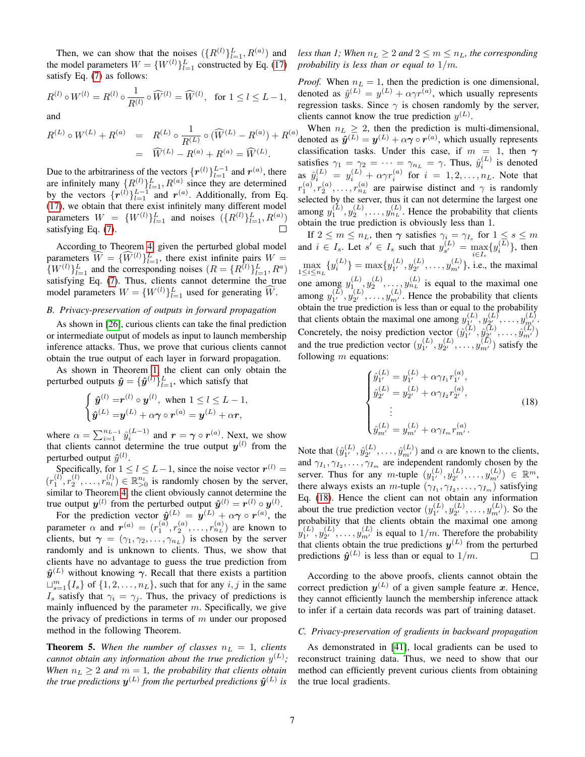Then, we can show that the noises  $({R^{(l)}})_{l=1}^L, R^{(a)})$  and the model parameters  $W = \{W^{(l)}\}_{l=1}^L$  constructed by Eq. [\(17\)](#page-5-4) satisfy Eq. [\(7\)](#page-3-5) as follows:

$$
R^{(l)} \circ W^{(l)} = R^{(l)} \circ \frac{1}{R^{(l)}} \circ \widehat{W}^{(l)} = \widehat{W}^{(l)}, \text{ for } 1 \le l \le L - 1,
$$

and

$$
R^{(L)} \circ W^{(L)} + R^{(a)} = R^{(L)} \circ \frac{1}{R^{(L)}} \circ (\widehat{W}^{(L)} - R^{(a)}) + R^{(a)}
$$
  
=  $\widehat{W}^{(L)} - R^{(a)} + R^{(a)} = \widehat{W}^{(L)}.$ 

Due to the arbitrariness of the vectors  $\{r^{(l)}\}_{l=1}^{L-1}$  and  $r^{(a)}$ , there are infinitely many  $\{R^{(l)}\}_{l=1}^L$ ,  $R^{(a)}$  since they are determined by the vectors  $\{r^{(l)}\}_{l=1}^{L-1}$  and  $r^{(a)}$ . Additionally, from Eq. [\(17\)](#page-5-4), we obtain that there exist infinitely many different model parameters  $W = \{W^{(l)}\}_{l=1}^L$  and noises  $(\{R^{(l)}\}_{l=1}^L, R^{(a)})$ satisfying Eq. [\(7\)](#page-3-5).

According to Theorem [4,](#page-5-5) given the perturbed global model parameters  $\widehat{W} = {\{\widehat{W}^{(l)}\}}_{l=1}^L$ , there exist infinite pairs  $W = {\{W^{(l)}\}}_{l=1}^L$  $\{W^{(l)}\}_{l=1}^L$  and the corresponding noises  $(R = \{R^{(l)}\}_{l=1}^L, R^a)$ satisfying Eq. [\(7\)](#page-3-5). Thus, clients cannot determine the true model parameters  $W = \{W^{(l)}\}_{l=1}^L$  used for generating  $\widehat{W}$ .

# <span id="page-6-2"></span>*B. Privacy-preservation of outputs in forward propagation*

As shown in [\[26\]](#page-11-3), curious clients can take the final prediction or intermediate output of models as input to launch membership inference attacks. Thus, we prove that curious clients cannot obtain the true output of each layer in forward propagation.

As shown in Theorem [1,](#page-4-1) the client can only obtain the perturbed outputs  $\hat{\mathbf{y}} = {\{\hat{\mathbf{y}}^{(l)}\}}_{l=1}^{L}$ , which satisfy that

$$
\begin{cases} \hat{\boldsymbol{y}}^{(l)} = \boldsymbol{r}^{(l)} \circ \boldsymbol{y}^{(l)}, \text{ when } 1 \leq l \leq L-1, \\ \hat{\boldsymbol{y}}^{(L)} = \boldsymbol{y}^{(L)} + \alpha \boldsymbol{\gamma} \circ \boldsymbol{r}^{(a)} = \boldsymbol{y}^{(L)} + \alpha \boldsymbol{r}, \end{cases}
$$

where  $\alpha = \sum_{i=1}^{n_{L-1}} \hat{y}_i^{(L-1)}$  and  $\mathbf{r} = \gamma \circ \mathbf{r}^{(a)}$ . Next, we show that clients cannot determine the true output  $y^{(l)}$  from the perturbed output  $\hat{y}^{(l)}$ .

Specifically, for  $1 \le l \le L-1$ , since the noise vector  $r^{(l)} =$  $(r_1^{(l)}, r_2^{(l)}, \ldots, r_{n_l}^{(l)}) \in \mathbb{R}_{>0}^{n_l}$  is randomly chosen by the server, similar to Theorem [4,](#page-5-5) the client obviously cannot determine the true output  $\mathbf{y}^{(l)}$  from the perturbed output  $\hat{\mathbf{y}}^{(l)} = \mathbf{r}^{(l)} \circ \mathbf{y}^{(l)}$ .

For the prediction vector  $\hat{y}^{(L)} = y^{(L)} + \alpha \gamma \circ r^{(a)}$ , the parameter  $\alpha$  and  $r^{(a)} = (r_1^{(a)}, r_2^{(a)}, \ldots, r_{n_L}^{(a)})$  are known to clients, but  $\gamma = (\gamma_1, \gamma_2, \dots, \gamma_{n_L})$  is chosen by the server randomly and is unknown to clients. Thus, we show that clients have no advantage to guess the true prediction from  $\hat{y}^{(L)}$  without knowing  $\gamma$ . Recall that there exists a partition  $\bigcup_{s=1}^{m} \{I_s\}$  of  $\{1, 2, ..., n_L\}$ , such that for any  $i, j$  in the same  $I_s$  satisfy that  $\gamma_i = \gamma_j$ . Thus, the privacy of predictions is mainly influenced by the parameter  $m$ . Specifically, we give the privacy of predictions in terms of  $m$  under our proposed method in the following Theorem.

<span id="page-6-0"></span>**Theorem 5.** When the number of classes  $n_L = 1$ , clients *cannot obtain any information about the true prediction*  $y^{(L)}$ ; *When*  $n_L \geq 2$  *and*  $m = 1$ *, the probability that clients obtain* the true predictions  $\bm{y}^{(L)}$  from the perturbed predictions  $\bm{\hat{y}}^{(L)}$  is

*less than 1; When*  $n_L \geq 2$  *and*  $2 \leq m \leq n_L$ *, the corresponding probability is less than or equal to* 1/m*.*

*Proof.* When  $n_L = 1$ , then the prediction is one dimensional, denoted as  $\hat{y}^{(L)} = y^{(L)} + \alpha \gamma r^{(a)}$ , which usually represents regression tasks. Since  $\gamma$  is chosen randomly by the server, clients cannot know the true prediction  $y^{(L)}$ .

When  $n_L > 2$ , then the prediction is multi-dimensional, denoted as  $\hat{\mathbf{y}}^{(L)} = \mathbf{y}^{(L)} + \alpha \boldsymbol{\gamma} \circ \mathbf{r}^{(a)}$ , which usually represents classification tasks. Under this case, if  $m = 1$ , then  $\gamma$ satisfies  $\gamma_1 = \gamma_2 = \cdots = \gamma_{n_L} = \gamma$ . Thus,  $\hat{y}_i^{(L)}$  is denoted as  $\hat{y}_i^{(L)} = y_i^{(L)} + \alpha \gamma r_i^{(a)}$  for  $i = 1, 2, \dots, n_L$ . Note that  $r_1^{(a)}, r_2^{(a)}, \ldots, r_{n_L}^{(a)}$  are pairwise distinct and  $\gamma$  is randomly selected by the server, thus it can not determine the largest one among  $y_1^{(L)}, y_2^{(L)}, \ldots, y_{n_L}^{(L)}$ . Hence the probability that clients obtain the true prediction is obviously less than 1.

If  $2 \leq m \leq n_L$ , then  $\gamma$  satisfies  $\gamma_i = \gamma_{I_s}$  for  $1 \leq s \leq m$ and  $i \in I_s$ . Let  $s' \in I_s$  such that  $y_{s'}^{(L)}$  $S_{s'}^{(L)} = \max_{i \in I_s} \{y_i^{(L)}\},\$  then  $\max_{1 \leq i \leq n_L} \{y_i^{(L)}\} = \max\{y_{1'}^{(L)}\}$  $\mathcal{E}^{(L)}_{1^\prime}, \mathcal{Y}^{(L)}_{2^\prime}$  $y_2^{(L)}, \ldots, y_{m'}^{(L)}\}$ , i.e., the maximal one among  $y_1^{(L)}, y_2^{(L)}, \ldots, y_{n_L}^{(L)}$  is equal to the maximal one among  $y_{1'}^{(L)}$  $\mathfrak{y}_2^{(L)}, \mathfrak{y}_{2'}^{(L)}$  $y_2^{(L)}, \ldots, y_{m'}^{(L)}$ . Hence the probability that clients obtain the true prediction is less than or equal to the probability that clients obtain the maximal one among  $y_1^{(L)}$  $y_1^{(L)}, y_{2'}^{(L)}$  $y_1^{(L)},\ldots,y_{m'}^{(L)}.$ Concretely, the noisy prediction vector  $(\hat{y}_{1'}^{(L)})$  $\hat{y}^{(L)}_{2'} , \hat{y}^{(L)}_{2'}$  $\hat{y}^{(L)}_{2'},\ldots,\hat{y}^{(L)}_{m'})$ and the true prediction vector  $(y_1^{(L)})$  $_{1'}^{(L)},y_{2'}^{(L)}$  $y_2^{(L)}, \ldots, y_{m'}^{(L)}$  satisfy the following  $m$  equations:

<span id="page-6-1"></span>
$$
\begin{cases}\n\hat{y}_{1'}^{(L)} = y_{1'}^{(L)} + \alpha \gamma_{I_1} r_{1'}^{(a)}, \n\hat{y}_{2'}^{(L)} = y_{2'}^{(L)} + \alpha \gamma_{I_2} r_{2'}^{(a)}, \n\vdots \n\hat{y}_{m'}^{(L)} = y_{m'}^{(L)} + \alpha \gamma_{I_m} r_{m'}^{(a)}.\n\end{cases}
$$
\n(18)

Note that  $(\hat{y}_{1'}^{(L)})$  $\hat{y}^{(L)}_2,\hat{y}^{(L)}_{2^\prime}$  $\hat{y}_{2'}^{(L)}, \ldots, \hat{y}_{m'}^{(L)}$  and  $\alpha$  are known to the clients, and  $\gamma_{I_1}, \gamma_{I_2}, \ldots, \gamma_{I_m}$  are independent randomly chosen by the server. Thus for any m-tuple  $(y_1^{(L)})$  $\mathcal{E}^{(L)}_{1^\prime}, \mathcal{Y}^{(L)}_{2^\prime}$  $y_2^{(L)}, \ldots, y_{m'}^{(L)}) \in \mathbb{R}^m$ , there always exists an *m*-tuple  $(\gamma_{I_1}, \gamma_{I_2}, \dots, \gamma_{I_m})$  satisfying Eq. [\(18\)](#page-6-1). Hence the client can not obtain any information about the true prediction vector  $(y_1^{(L)})$  $\binom{(L)}{1'} , y_{2'}^{(L)}$  $y_2^{(L)}, \ldots, y_{m'}^{(L)}$ ). So the probability that the clients obtain the maximal one among  $y_{1'}^{(L)}$  $y_1^{(L)}, y_2^{(L)}$  $y_2^{(L)}$ , ...,  $y_{m'}^{(L)}$  is equal to  $1/m$ . Therefore the probability that clients obtain the true predictions  $y^{(L)}$  from the perturbed predictions  $\hat{\mathbf{y}}^{(L)}$  is less than or equal to  $1/m$ .

According to the above proofs, clients cannot obtain the correct prediction  $y^{(L)}$  of a given sample feature x. Hence, they cannot efficiently launch the membership inference attack to infer if a certain data records was part of training dataset.

# *C. Privacy-preservation of gradients in backward propagation*

As demonstrated in [\[41\]](#page-11-4), local gradients can be used to reconstruct training data. Thus, we need to show that our method can efficiently prevent curious clients from obtaining the true local gradients.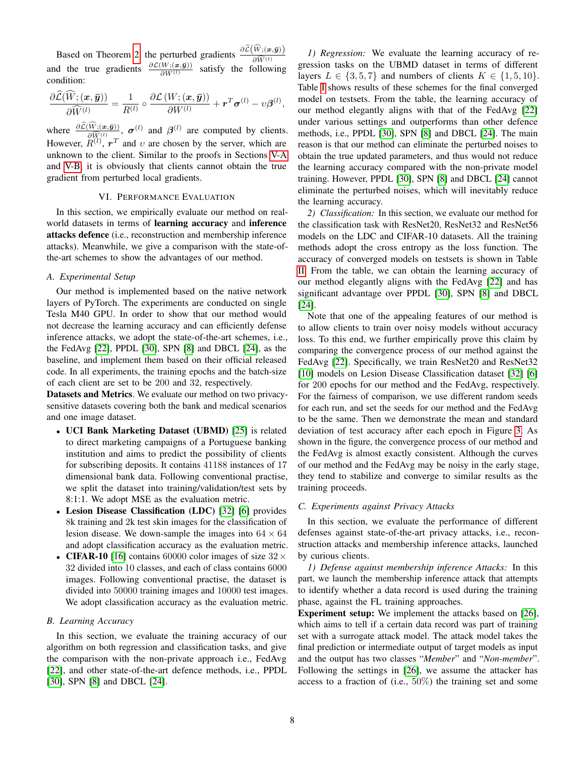Based on Theorem [2,](#page-4-3) the perturbed gradients  $\frac{\partial \widehat{\mathcal{L}}(\widehat{W};(\bm{x},\bar{\bm{y}}))}{\partial \widehat{W}^{(1)}}$ and the true gradients  $\frac{\partial \mathcal{L}(W; (\mathbf{x}, \bar{\mathbf{y}}))}{\partial W^{(1)}}$  satisfy the following condition:

$$
\frac{\partial \mathcal{L}(W; (\boldsymbol{x}, \bar{\boldsymbol{y}}))}{\partial \widehat{W}^{(l)}} = \frac{1}{R^{(l)}} \circ \frac{\partial \mathcal{L}(W; (\boldsymbol{x}, \bar{\boldsymbol{y}}))}{\partial W^{(l)}} + \boldsymbol{r}^T \boldsymbol{\sigma}^{(l)} - \upsilon \boldsymbol{\beta}^{(l)},
$$

where  $\frac{\partial \mathcal{L}(W_1(\bm{x}, \bar{\bm{y}}))}{\partial \hat{W}^{(l)}}$ ,  $\sigma^{(l)}$  and  $\beta^{(l)}$  are computed by clients. However,  $\tilde{R}^{(l)}$ ,  $r^T$  and v are chosen by the server, which are unknown to the client. Similar to the proofs in Sections [V-A](#page-5-6) and [V-B,](#page-6-2) it is obviously that clients cannot obtain the true gradient from perturbed local gradients.

## VI. PERFORMANCE EVALUATION

<span id="page-7-0"></span>In this section, we empirically evaluate our method on realworld datasets in terms of learning accuracy and inference attacks defence (i.e., reconstruction and membership inference attacks). Meanwhile, we give a comparison with the state-ofthe-art schemes to show the advantages of our method.

## *A. Experimental Setup*

Our method is implemented based on the native network layers of PyTorch. The experiments are conducted on single Tesla M40 GPU. In order to show that our method would not decrease the learning accuracy and can efficiently defense inference attacks, we adopt the state-of-the-art schemes, i.e., the FedAvg [\[22\]](#page-11-2), PPDL [\[30\]](#page-11-9), SPN [\[8\]](#page-10-2) and DBCL [\[24\]](#page-11-8), as the baseline, and implement them based on their official released code. In all experiments, the training epochs and the batch-size of each client are set to be 200 and 32, respectively.

Datasets and Metrics. We evaluate our method on two privacysensitive datasets covering both the bank and medical scenarios and one image dataset.

- UCI Bank Marketing Dataset (UBMD) [\[25\]](#page-11-16) is related to direct marketing campaigns of a Portuguese banking institution and aims to predict the possibility of clients for subscribing deposits. It contains 41188 instances of 17 dimensional bank data. Following conventional practise, we split the dataset into training/validation/test sets by 8:1:1. We adopt MSE as the evaluation metric.
- Lesion Disease Classification (LDC) [\[32\]](#page-11-17) [\[6\]](#page-10-7) provides 8k training and 2k test skin images for the classification of lesion disease. We down-sample the images into  $64 \times 64$ and adopt classification accuracy as the evaluation metric.
- CIFAR-10 [\[16\]](#page-11-18) contains 60000 color images of size  $32 \times$ 32 divided into 10 classes, and each of class contains 6000 images. Following conventional practise, the dataset is divided into 50000 training images and 10000 test images. We adopt classification accuracy as the evaluation metric.

## *B. Learning Accuracy*

In this section, we evaluate the training accuracy of our algorithm on both regression and classification tasks, and give the comparison with the non-private approach i.e., FedAvg [\[22\]](#page-11-2), and other state-of-the-art defence methods, i.e., PPDL [\[30\]](#page-11-9), SPN [\[8\]](#page-10-2) and DBCL [\[24\]](#page-11-8).

*1) Regression:* We evaluate the learning accuracy of regression tasks on the UBMD dataset in terms of different layers  $L \in \{3, 5, 7\}$  and numbers of clients  $K \in \{1, 5, 10\}$ . Table [I](#page-8-0) shows results of these schemes for the final converged model on testsets. From the table, the learning accuracy of our method elegantly aligns with that of the FedAvg [\[22\]](#page-11-2) under various settings and outperforms than other defence methods, i.e., PPDL [\[30\]](#page-11-9), SPN [\[8\]](#page-10-2) and DBCL [\[24\]](#page-11-8). The main reason is that our method can eliminate the perturbed noises to obtain the true updated parameters, and thus would not reduce the learning accuracy compared with the non-private model training. However, PPDL [\[30\]](#page-11-9), SPN [\[8\]](#page-10-2) and DBCL [\[24\]](#page-11-8) cannot eliminate the perturbed noises, which will inevitably reduce the learning accuracy.

*2) Classification:* In this section, we evaluate our method for the classification task with ResNet20, ResNet32 and ResNet56 models on the LDC and CIFAR-10 datasets. All the training methods adopt the cross entropy as the loss function. The accuracy of converged models on testsets is shown in Table [II.](#page-8-1) From the table, we can obtain the learning accuracy of our method elegantly aligns with the FedAvg [\[22\]](#page-11-2) and has significant advantage over PPDL [\[30\]](#page-11-9), SPN [\[8\]](#page-10-2) and DBCL [\[24\]](#page-11-8).

Note that one of the appealing features of our method is to allow clients to train over noisy models without accuracy loss. To this end, we further empirically prove this claim by comparing the convergence process of our method against the FedAvg [\[22\]](#page-11-2). Specifically, we train ResNet20 and ResNet32 [\[10\]](#page-10-5) models on Lesion Disease Classification dataset [\[32\]](#page-11-17) [\[6\]](#page-10-7) for 200 epochs for our method and the FedAvg, respectively. For the fairness of comparison, we use different random seeds for each run, and set the seeds for our method and the FedAvg to be the same. Then we demonstrate the mean and standard deviation of test accuracy after each epoch in Figure [3.](#page-8-2) As shown in the figure, the convergence process of our method and the FedAvg is almost exactly consistent. Although the curves of our method and the FedAvg may be noisy in the early stage, they tend to stabilize and converge to similar results as the training proceeds.

## *C. Experiments against Privacy Attacks*

In this section, we evaluate the performance of different defenses against state-of-the-art privacy attacks, i.e., reconstruction attacks and membership inference attacks, launched by curious clients.

*1) Defense against membership inference Attacks:* In this part, we launch the membership inference attack that attempts to identify whether a data record is used during the training phase, against the FL training approaches.

Experiment setup: We implement the attacks based on [\[26\]](#page-11-3), which aims to tell if a certain data record was part of training set with a surrogate attack model. The attack model takes the final prediction or intermediate output of target models as input and the output has two classes "*Member*" and "*Non-member*". Following the settings in [\[26\]](#page-11-3), we assume the attacker has access to a fraction of (i.e.,  $50\%$ ) the training set and some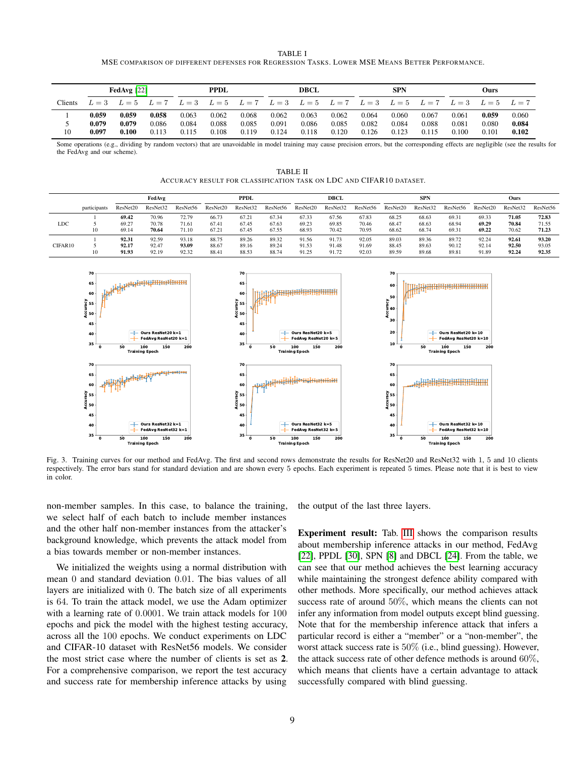|                                                                                                | TABLE I |  |
|------------------------------------------------------------------------------------------------|---------|--|
| MSE COMPARISON OF DIFFERENT DEFENSES FOR REGRESSION TASKS. LOWER MSE MEANS BETTER PERFORMANCE. |         |  |

<span id="page-8-0"></span>

|         | <b>PPDL</b><br>FedAvg $[22]$ |       |       | <b>DBCL</b> |       |       | <b>SPN</b> |             |       | Ours  |       |       |            |       |       |
|---------|------------------------------|-------|-------|-------------|-------|-------|------------|-------------|-------|-------|-------|-------|------------|-------|-------|
| Clients |                              | $L=5$ | $L=7$ | $L=3$       | $L=5$ | $L=7$ | $L=3$      | $L=5$ $L=7$ |       | $L=3$ | $L=5$ | $L=7$ | $L=3$      | $L=5$ | $L=7$ |
|         | 0.059                        | 0.059 | 0.058 | 0.063       | 0.062 | 0.068 | 0.062      | 0.063       | 0.062 | 0.064 | 0.060 | 0.067 | 0.061      | 0.059 | 0.060 |
|         | 0.079                        | 0.079 | 0.086 | 0.084       | 0.088 | 0.085 | 0.091      | 0.086       | 0.085 | 0.082 | 0.084 | 0.088 | $_{0.081}$ | 0.080 | 0.084 |
| 10      | 0.097                        | 0.100 | 0.113 | 0.115       | 0.108 | 0.119 | 0.124      | 0.118       | 0.120 | 0.126 | 0.123 | 0.115 | 0.100      | 0.101 | 0.102 |

Some operations (e.g., dividing by random vectors) that are unavoidable in model training may cause precision errors, but the corresponding effects are negligible (see the results for the FedAvg and our scheme).

| TABLE II                                                            |  |
|---------------------------------------------------------------------|--|
| ACCURACY RESULT FOR CLASSIFICATION TASK ON LDC AND CIFAR10 DATASET. |  |

<span id="page-8-1"></span>

|         |              | FedAvg                  |                         |                         | <b>PPDL</b>             |                         | <b>DBCL</b>             |                         | <b>SPN</b>              |                         |                         | Ours                    |                         |                         |                         |                         |
|---------|--------------|-------------------------|-------------------------|-------------------------|-------------------------|-------------------------|-------------------------|-------------------------|-------------------------|-------------------------|-------------------------|-------------------------|-------------------------|-------------------------|-------------------------|-------------------------|
|         | participants | ResNet20                | ResNet32                | ResNet56                | ResNet20                | ResNet32                | ResNet56                | ResNet20                | ResNet32                | ResNet56                | ResNet20                | ResNet32                | ResNet56                | ResNet20                | ResNet32                | ResNet56                |
| LDC     | 10           | 69.42<br>69.27<br>69.14 | 70.96<br>70.78<br>70.64 | 72.79<br>71.61<br>71.10 | 66.73<br>67.41<br>67.21 | 67.21<br>67.45<br>67.45 | 67.34<br>67.63<br>67.55 | 67.33<br>69.23<br>68.93 | 67.56<br>69.85<br>70.42 | 67.83<br>70.46<br>70.95 | 68.25<br>68.47<br>68.62 | 68.63<br>68.63<br>68.74 | 69.31<br>68.94<br>69.31 | 69.33<br>69.29<br>69.22 | 71.05<br>70.84<br>70.62 | 72.83<br>71.55<br>71.23 |
| CIFAR10 | 10           | 92.31<br>92.17<br>91.93 | 92.59<br>92.47<br>92.19 | 93.18<br>93.09<br>92.32 | 88.75<br>88.67<br>88.41 | 89.26<br>89.16<br>88.53 | 89.32<br>89.24<br>88.74 | 91.56<br>91.53<br>91.25 | 91.73<br>91.48<br>91.72 | 92.05<br>91.69<br>92.03 | 89.03<br>88.45<br>89.59 | 89.36<br>89.63<br>89.68 | 89.72<br>90.12<br>89.81 | 92.24<br>92.14<br>91.89 | 92.61<br>92.50<br>92.24 | 93.20<br>93.05<br>92.35 |



<span id="page-8-2"></span>Fig. 3. Training curves for our method and FedAvg. The first and second rows demonstrate the results for ResNet20 and ResNet32 with 1, 5 and 10 clients respectively. The error bars stand for standard deviation and are shown every 5 epochs. Each experiment is repeated 5 times. Please note that it is best to view in color.

non-member samples. In this case, to balance the training, we select half of each batch to include member instances and the other half non-member instances from the attacker's background knowledge, which prevents the attack model from a bias towards member or non-member instances.

We initialized the weights using a normal distribution with mean 0 and standard deviation 0.01. The bias values of all layers are initialized with 0. The batch size of all experiments is 64. To train the attack model, we use the Adam optimizer with a learning rate of 0.0001. We train attack models for 100 epochs and pick the model with the highest testing accuracy, across all the 100 epochs. We conduct experiments on LDC and CIFAR-10 dataset with ResNet56 models. We consider the most strict case where the number of clients is set as 2. For a comprehensive comparison, we report the test accuracy and success rate for membership inference attacks by using

the output of the last three layers.

Experiment result: Tab. [III](#page-9-1) shows the comparison results about membership inference attacks in our method, FedAvg [\[22\]](#page-11-2), PPDL [\[30\]](#page-11-9), SPN [\[8\]](#page-10-2) and DBCL [\[24\]](#page-11-8). From the table, we can see that our method achieves the best learning accuracy while maintaining the strongest defence ability compared with other methods. More specifically, our method achieves attack success rate of around 50%, which means the clients can not infer any information from model outputs except blind guessing. Note that for the membership inference attack that infers a particular record is either a "member" or a "non-member", the worst attack success rate is 50% (i.e., blind guessing). However, the attack success rate of other defence methods is around  $60\%$ . which means that clients have a certain advantage to attack successfully compared with blind guessing.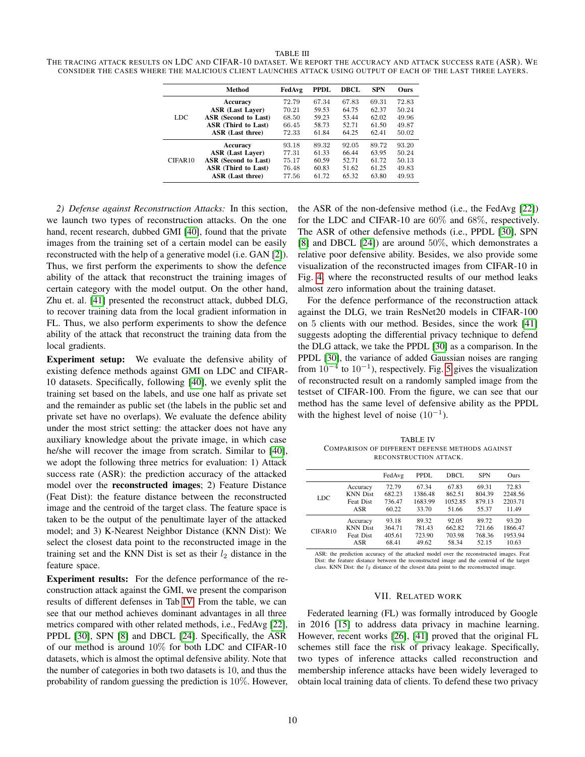#### TABLE III

<span id="page-9-1"></span>THE TRACING ATTACK RESULTS ON LDC AND CIFAR-10 DATASET. WE REPORT THE ACCURACY AND ATTACK SUCCESS RATE (ASR). WE CONSIDER THE CASES WHERE THE MALICIOUS CLIENT LAUNCHES ATTACK USING OUTPUT OF EACH OF THE LAST THREE LAYERS.

|         | Method                      | FedAvg | <b>PPDL</b> | DBCL  | <b>SPN</b> | <b>Ours</b> |
|---------|-----------------------------|--------|-------------|-------|------------|-------------|
|         | Accuracy                    | 72.79  | 67.34       | 67.83 | 69.31      | 72.83       |
|         | <b>ASR (Last Laver)</b>     | 70.21  | 59.53       | 64.75 | 62.37      | 50.24       |
| LDC     | <b>ASR</b> (Second to Last) | 68.50  | 59.23       | 53.44 | 62.02      | 49.96       |
|         | <b>ASR</b> (Third to Last)  | 66.45  | 58.73       | 52.71 | 61.50      | 49.87       |
|         | ASR (Last three)            | 72.33  | 61.84       | 64.25 | 62.41      | 50.02       |
|         | Accuracy                    | 93.18  | 89.32       | 92.05 | 89.72      | 93.20       |
|         | <b>ASR (Last Laver)</b>     | 77.31  | 61.33       | 66.44 | 63.95      | 50.24       |
| CIFAR10 | ASR (Second to Last)        | 75.17  | 60.59       | 52.71 | 61.72      | 50.13       |
|         | ASR (Third to Last)         | 76.48  | 60.83       | 51.62 | 61.25      | 49.83       |
|         | ASR (Last three)            | 77.56  | 61.72       | 65.32 | 63.80      | 49.93       |

*2) Defense against Reconstruction Attacks:* In this section, we launch two types of reconstruction attacks. On the one hand, recent research, dubbed GMI [\[40\]](#page-11-19), found that the private images from the training set of a certain model can be easily reconstructed with the help of a generative model (i.e. GAN [\[2\]](#page-10-8)). Thus, we first perform the experiments to show the defence ability of the attack that reconstruct the training images of certain category with the model output. On the other hand, Zhu et. al. [\[41\]](#page-11-4) presented the reconstruct attack, dubbed DLG, to recover training data from the local gradient information in FL. Thus, we also perform experiments to show the defence ability of the attack that reconstruct the training data from the local gradients.

Experiment setup: We evaluate the defensive ability of existing defence methods against GMI on LDC and CIFAR-10 datasets. Specifically, following [\[40\]](#page-11-19), we evenly split the training set based on the labels, and use one half as private set and the remainder as public set (the labels in the public set and private set have no overlaps). We evaluate the defence ability under the most strict setting: the attacker does not have any auxiliary knowledge about the private image, in which case he/she will recover the image from scratch. Similar to [\[40\]](#page-11-19), we adopt the following three metrics for evaluation: 1) Attack success rate (ASR): the prediction accuracy of the attacked model over the reconstructed images; 2) Feature Distance (Feat Dist): the feature distance between the reconstructed image and the centroid of the target class. The feature space is taken to be the output of the penultimate layer of the attacked model; and 3) K-Nearest Neighbor Distance (KNN Dist): We select the closest data point to the reconstructed image in the training set and the KNN Dist is set as their  $l_2$  distance in the feature space.

Experiment results: For the defence performance of the reconstruction attack against the GMI, we present the comparison results of different defenses in Tab [IV.](#page-9-2) From the table, we can see that our method achieves dominant advantages in all three metrics compared with other related methods, i.e., FedAvg [\[22\]](#page-11-2), PPDL [\[30\]](#page-11-9), SPN [\[8\]](#page-10-2) and DBCL [\[24\]](#page-11-8). Specifically, the ASR of our method is around 10% for both LDC and CIFAR-10 datasets, which is almost the optimal defensive ability. Note that the number of categories in both two datasets is 10, and thus the probability of random guessing the prediction is  $10\%$ . However,

the ASR of the non-defensive method (i.e., the FedAvg [\[22\]](#page-11-2)) for the LDC and CIFAR-10 are 60% and 68%, respectively. The ASR of other defensive methods (i.e., PPDL [\[30\]](#page-11-9), SPN [\[8\]](#page-10-2) and DBCL [\[24\]](#page-11-8)) are around 50%, which demonstrates a relative poor defensive ability. Besides, we also provide some visualization of the reconstructed images from CIFAR-10 in Fig. [4,](#page-10-9) where the reconstructed results of our method leaks almost zero information about the training dataset.

For the defence performance of the reconstruction attack against the DLG, we train ResNet20 models in CIFAR-100 on 5 clients with our method. Besides, since the work [\[41\]](#page-11-4) suggests adopting the differential privacy technique to defend the DLG attack, we take the PPDL [\[30\]](#page-11-9) as a comparison. In the PPDL [\[30\]](#page-11-9), the variance of added Gaussian noises are ranging from  $10^{-4}$  to  $10^{-1}$ ), respectively. Fig. [5](#page-10-10) gives the visualization of reconstructed result on a randomly sampled image from the testset of CIFAR-100. From the figure, we can see that our method has the same level of defensive ability as the PPDL with the highest level of noise  $(10^{-1})$ .

TABLE IV COMPARISON OF DIFFERENT DEFENSE METHODS AGAINST RECONSTRUCTION ATTACK.

<span id="page-9-2"></span>

|         |                  | FedAvg | PPDL    | DBCL    | <b>SPN</b> | <b>Ours</b> |
|---------|------------------|--------|---------|---------|------------|-------------|
| LDC.    | Accuracy         | 72.79  | 67.34   | 67.83   | 69.31      | 72.83       |
|         | <b>KNN</b> Dist  | 682.23 | 1386.48 | 862.51  | 804.39     | 2248.56     |
|         | <b>Feat Dist</b> | 736.47 | 1683.99 | 1052.85 | 879.13     | 2203.71     |
|         | ASR              | 60.22  | 33.70   | 51.66   | 55.37      | 11.49       |
| CIFAR10 | Accuracy         | 93.18  | 89.32   | 92.05   | 89.72      | 93.20       |
|         | <b>KNN</b> Dist  | 364.71 | 781.43  | 662.82  | 721.66     | 1866.47     |
|         | <b>Feat Dist</b> | 405.61 | 723.90  | 703.98  | 768.36     | 1953.94     |
|         | ASR              | 68.41  | 49.62   | 58.34   | 52.15      | 10.63       |

ASR: the prediction accuracy of the attacked model over the reconstructed images. Feat Dist: the feature distance between the reconstructed image and the centroid of the class. KNN Dist: the  $l_2$  distance of the closest data point to the reconstructed image.

## VII. RELATED WORK

<span id="page-9-0"></span>Federated learning (FL) was formally introduced by Google in 2016 [\[15\]](#page-11-20) to address data privacy in machine learning. However, recent works [\[26\]](#page-11-3), [\[41\]](#page-11-4) proved that the original FL schemes still face the risk of privacy leakage. Specifically, two types of inference attacks called reconstruction and membership inference attacks have been widely leveraged to obtain local training data of clients. To defend these two privacy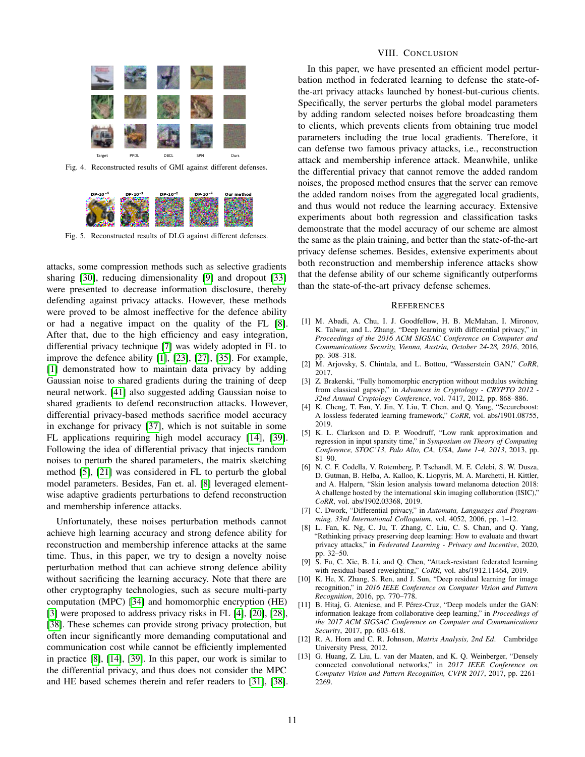

<span id="page-10-9"></span>Fig. 4. Reconstructed results of GMI against different defenses.



<span id="page-10-10"></span>Fig. 5. Reconstructed results of DLG against different defenses.

attacks, some compression methods such as selective gradients sharing [\[30\]](#page-11-9), reducing dimensionality [\[9\]](#page-10-11) and dropout [\[33\]](#page-11-21) were presented to decrease information disclosure, thereby defending against privacy attacks. However, these methods were proved to be almost ineffective for the defence ability or had a negative impact on the quality of the FL [\[8\]](#page-10-2). After that, due to the high efficiency and easy integration, differential privacy technique [\[7\]](#page-10-0) was widely adopted in FL to improve the defence ability [\[1\]](#page-10-12), [\[23\]](#page-11-5), [\[27\]](#page-11-6), [\[35\]](#page-11-7). For example, [\[1\]](#page-10-12) demonstrated how to maintain data privacy by adding Gaussian noise to shared gradients during the training of deep neural network. [\[41\]](#page-11-4) also suggested adding Gaussian noise to shared gradients to defend reconstruction attacks. However, differential privacy-based methods sacrifice model accuracy in exchange for privacy [\[37\]](#page-11-22), which is not suitable in some FL applications requiring high model accuracy [\[14\]](#page-11-10), [\[39\]](#page-11-23). Following the idea of differential privacy that injects random noises to perturb the shared parameters, the matrix sketching method [\[5\]](#page-10-13), [\[21\]](#page-11-24) was considered in FL to perturb the global model parameters. Besides, Fan et. al. [\[8\]](#page-10-2) leveraged elementwise adaptive gradients perturbations to defend reconstruction and membership inference attacks.

Unfortunately, these noises perturbation methods cannot achieve high learning accuracy and strong defence ability for reconstruction and membership inference attacks at the same time. Thus, in this paper, we try to design a novelty noise perturbation method that can achieve strong defence ability without sacrificing the learning accuracy. Note that there are other cryptography technologies, such as secure multi-party computation (MPC) [\[34\]](#page-11-25) and homomorphic encryption (HE) [\[3\]](#page-10-14) were proposed to address privacy risks in FL [\[4\]](#page-10-15), [\[20\]](#page-11-26), [\[28\]](#page-11-27), [\[38\]](#page-11-1). These schemes can provide strong privacy protection, but often incur significantly more demanding computational and communication cost while cannot be efficiently implemented in practice [\[8\]](#page-10-2), [\[14\]](#page-11-10), [\[39\]](#page-11-23). In this paper, our work is similar to the differential privacy, and thus does not consider the MPC and HE based schemes therein and refer readers to [\[31\]](#page-11-28), [\[38\]](#page-11-1).

## VIII. CONCLUSION

<span id="page-10-3"></span>In this paper, we have presented an efficient model perturbation method in federated learning to defense the state-ofthe-art privacy attacks launched by honest-but-curious clients. Specifically, the server perturbs the global model parameters by adding random selected noises before broadcasting them to clients, which prevents clients from obtaining true model parameters including the true local gradients. Therefore, it can defense two famous privacy attacks, i.e., reconstruction attack and membership inference attack. Meanwhile, unlike the differential privacy that cannot remove the added random noises, the proposed method ensures that the server can remove the added random noises from the aggregated local gradients, and thus would not reduce the learning accuracy. Extensive experiments about both regression and classification tasks demonstrate that the model accuracy of our scheme are almost the same as the plain training, and better than the state-of-the-art privacy defense schemes. Besides, extensive experiments about both reconstruction and membership inference attacks show that the defense ability of our scheme significantly outperforms than the state-of-the-art privacy defense schemes.

#### **REFERENCES**

- <span id="page-10-12"></span>[1] M. Abadi, A. Chu, I. J. Goodfellow, H. B. McMahan, I. Mironov, K. Talwar, and L. Zhang, "Deep learning with differential privacy," in *Proceedings of the 2016 ACM SIGSAC Conference on Computer and Communications Security, Vienna, Austria, October 24-28, 2016*, 2016, pp. 308–318.
- <span id="page-10-8"></span>[2] M. Arjovsky, S. Chintala, and L. Bottou, "Wasserstein GAN," *CoRR*, 2017.
- <span id="page-10-14"></span>[3] Z. Brakerski, "Fully homomorphic encryption without modulus switching from classical gapsvp," in *Advances in Cryptology - CRYPTO 2012 - 32nd Annual Cryptology Conference*, vol. 7417, 2012, pp. 868–886.
- <span id="page-10-15"></span>[4] K. Cheng, T. Fan, Y. Jin, Y. Liu, T. Chen, and O. Yang, "Secureboost: A lossless federated learning framework," *CoRR*, vol. abs/1901.08755, 2019.
- <span id="page-10-13"></span>[5] K. L. Clarkson and D. P. Woodruff, "Low rank approximation and regression in input sparsity time," in *Symposium on Theory of Computing Conference, STOC'13, Palo Alto, CA, USA, June 1-4, 2013*, 2013, pp. 81–90.
- <span id="page-10-7"></span>[6] N. C. F. Codella, V. Rotemberg, P. Tschandl, M. E. Celebi, S. W. Dusza, D. Gutman, B. Helba, A. Kalloo, K. Liopyris, M. A. Marchetti, H. Kittler, and A. Halpern, "Skin lesion analysis toward melanoma detection 2018: A challenge hosted by the international skin imaging collaboration (ISIC)," *CoRR*, vol. abs/1902.03368, 2019.
- <span id="page-10-0"></span>[7] C. Dwork, "Differential privacy," in *Automata, Languages and Programming, 33rd International Colloquium*, vol. 4052, 2006, pp. 1–12.
- <span id="page-10-2"></span>[8] L. Fan, K. Ng, C. Ju, T. Zhang, C. Liu, C. S. Chan, and Q. Yang, "Rethinking privacy preserving deep learning: How to evaluate and thwart privacy attacks," in *Federated Learning - Privacy and Incentive*, 2020, pp. 32–50.
- <span id="page-10-11"></span>[9] S. Fu, C. Xie, B. Li, and Q. Chen, "Attack-resistant federated learning with residual-based reweighting," *CoRR*, vol. abs/1912.11464, 2019.
- <span id="page-10-5"></span>[10] K. He, X. Zhang, S. Ren, and J. Sun, "Deep residual learning for image recognition," in *2016 IEEE Conference on Computer Vision and Pattern Recognition*, 2016, pp. 770–778.
- <span id="page-10-1"></span>[11] B. Hitaj, G. Ateniese, and F. Pérez-Cruz, "Deep models under the GAN: information leakage from collaborative deep learning," in *Proceedings of the 2017 ACM SIGSAC Conference on Computer and Communications Security*, 2017, pp. 603–618.
- <span id="page-10-4"></span>[12] R. A. Horn and C. R. Johnson, *Matrix Analysis, 2nd Ed*. Cambridge University Press, 2012.
- <span id="page-10-6"></span>[13] G. Huang, Z. Liu, L. van der Maaten, and K. Q. Weinberger, "Densely connected convolutional networks," in *2017 IEEE Conference on Computer Vision and Pattern Recognition, CVPR 2017*, 2017, pp. 2261– 2269.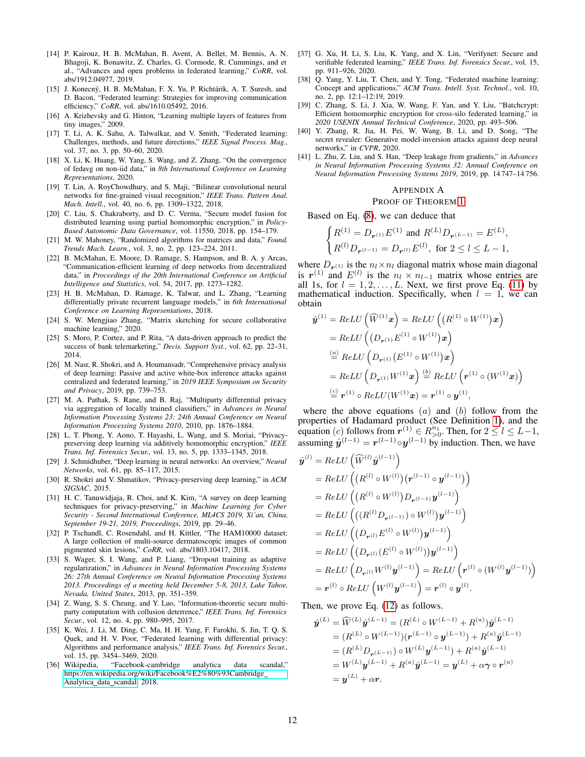- <span id="page-11-10"></span>[14] P. Kairouz, H. B. McMahan, B. Avent, A. Bellet, M. Bennis, A. N. Bhagoji, K. Bonawitz, Z. Charles, G. Cormode, R. Cummings, and et al., "Advances and open problems in federated learning," *CoRR*, vol. abs/1912.04977, 2019.
- <span id="page-11-20"></span>[15] J. Konecný, H. B. McMahan, F. X. Yu, P. Richtárik, A. T. Suresh, and D. Bacon, "Federated learning: Strategies for improving communication efficiency," *CoRR*, vol. abs/1610.05492, 2016.
- <span id="page-11-18"></span>[16] A. Krizhevsky and G. Hinton, "Learning multiple layers of features from tiny images," 2009.
- <span id="page-11-11"></span>[17] T. Li, A. K. Sahu, A. Talwalkar, and V. Smith, "Federated learning: Challenges, methods, and future directions," *IEEE Signal Process. Mag.*, vol. 37, no. 3, pp. 50–60, 2020.
- <span id="page-11-13"></span>[18] X. Li, K. Huang, W. Yang, S. Wang, and Z. Zhang, "On the convergence of fedavg on non-iid data," in *8th International Conference on Learning Representations*, 2020.
- <span id="page-11-14"></span>[19] T. Lin, A. RoyChowdhury, and S. Maji, "Bilinear convolutional neural networks for fine-grained visual recognition," *IEEE Trans. Pattern Anal. Mach. Intell.*, vol. 40, no. 6, pp. 1309–1322, 2018.
- <span id="page-11-26"></span>[20] C. Liu, S. Chakraborty, and D. C. Verma, "Secure model fusion for distributed learning using partial homomorphic encryption," in *Policy-Based Autonomic Data Governance*, vol. 11550, 2018, pp. 154–179.
- <span id="page-11-24"></span>[21] M. W. Mahoney, "Randomized algorithms for matrices and data," *Found. Trends Mach. Learn.*, vol. 3, no. 2, pp. 123–224, 2011.
- <span id="page-11-2"></span>[22] B. McMahan, E. Moore, D. Ramage, S. Hampson, and B. A. y Arcas, "Communication-efficient learning of deep networks from decentralized data," in *Proceedings of the 20th International Conference on Artificial Intelligence and Statistics*, vol. 54, 2017, pp. 1273–1282.
- <span id="page-11-5"></span>[23] H. B. McMahan, D. Ramage, K. Talwar, and L. Zhang, "Learning differentially private recurrent language models," in *6th International Conference on Learning Representations*, 2018.
- <span id="page-11-8"></span>[24] S. W. Mengjiao Zhang, "Matrix sketching for secure collaborative machine learning," 2020.
- <span id="page-11-16"></span>[25] S. Moro, P. Cortez, and P. Rita, "A data-driven approach to predict the success of bank telemarketing," *Decis. Support Syst.*, vol. 62, pp. 22–31, 2014.
- <span id="page-11-3"></span>[26] M. Nasr, R. Shokri, and A. Houmansadr, "Comprehensive privacy analysis of deep learning: Passive and active white-box inference attacks against centralized and federated learning," in *2019 IEEE Symposium on Security and Privacy*, 2019, pp. 739–753.
- <span id="page-11-6"></span>[27] M. A. Pathak, S. Rane, and B. Raj, "Multiparty differential privacy via aggregation of locally trained classifiers," in *Advances in Neural Information Processing Systems 23: 24th Annual Conference on Neural Information Processing Systems 2010*, 2010, pp. 1876–1884.
- <span id="page-11-27"></span>[28] L. T. Phong, Y. Aono, T. Hayashi, L. Wang, and S. Moriai, "Privacypreserving deep learning via additively homomorphic encryption," *IEEE Trans. Inf. Forensics Secur.*, vol. 13, no. 5, pp. 1333–1345, 2018.
- <span id="page-11-12"></span>[29] J. Schmidhuber, "Deep learning in neural networks: An overview," *Neural Networks*, vol. 61, pp. 85–117, 2015.
- <span id="page-11-9"></span>[30] R. Shokri and V. Shmatikov, "Privacy-preserving deep learning," in *ACM SIGSAC*, 2015.
- <span id="page-11-28"></span>[31] H. C. Tanuwidjaja, R. Choi, and K. Kim, "A survey on deep learning techniques for privacy-preserving," in *Machine Learning for Cyber Security - Second International Conference, ML4CS 2019, Xi'an, China, September 19-21, 2019, Proceedings*, 2019, pp. 29–46.
- <span id="page-11-17"></span>[32] P. Tschandl, C. Rosendahl, and H. Kittler, "The HAM10000 dataset: A large collection of multi-source dermatoscopic images of common pigmented skin lesions," *CoRR*, vol. abs/1803.10417, 2018.
- <span id="page-11-21"></span>[33] S. Wager, S. I. Wang, and P. Liang, "Dropout training as adaptive regularization," in *Advances in Neural Information Processing Systems 26: 27th Annual Conference on Neural Information Processing Systems 2013. Proceedings of a meeting held December 5-8, 2013, Lake Tahoe, Nevada, United States*, 2013, pp. 351–359.
- <span id="page-11-25"></span>[34] Z. Wang, S. S. Cheung, and Y. Luo, "Information-theoretic secure multiparty computation with collusion deterrence," *IEEE Trans. Inf. Forensics Secur.*, vol. 12, no. 4, pp. 980–995, 2017.
- <span id="page-11-7"></span>[35] K. Wei, J. Li, M. Ding, C. Ma, H. H. Yang, F. Farokhi, S. Jin, T. Q. S. Quek, and H. V. Poor, "Federated learning with differential privacy: Algorithms and performance analysis," *IEEE Trans. Inf. Forensics Secur.*, vol. 15, pp. 3454–3469, 2020.
- <span id="page-11-0"></span>[36] Wikipedia, "Facebook-cambridge analytica data scandal," [https://en.wikipedia.org/wiki/Facebook%E2%80%93Cambridge](https://en.wikipedia.org/wiki/Facebook%E2%80%93Cambridge_Analytica_data_scandal) [Analytica](https://en.wikipedia.org/wiki/Facebook%E2%80%93Cambridge_Analytica_data_scandal)\_data\_scandal, 2018.
- <span id="page-11-22"></span>[37] G. Xu, H. Li, S. Liu, K. Yang, and X. Lin, "Verifynet: Secure and verifiable federated learning," *IEEE Trans. Inf. Forensics Secur.*, vol. 15, pp. 911–926, 2020.
- <span id="page-11-1"></span>[38] Q. Yang, Y. Liu, T. Chen, and Y. Tong, "Federated machine learning: Concept and applications," *ACM Trans. Intell. Syst. Technol.*, vol. 10, no. 2, pp. 12:1–12:19, 2019.
- <span id="page-11-23"></span>[39] C. Zhang, S. Li, J. Xia, W. Wang, F. Yan, and Y. Liu, "Batchcrypt: Efficient homomorphic encryption for cross-silo federated learning," in *2020 USENIX Annual Technical Conference*, 2020, pp. 493–506.
- <span id="page-11-19"></span>[40] Y. Zhang, R. Jia, H. Pei, W. Wang, B. Li, and D. Song, "The secret revealer: Generative model-inversion attacks against deep neural networks," in *CVPR*, 2020.
- <span id="page-11-4"></span>[41] L. Zhu, Z. Liu, and S. Han, "Deep leakage from gradients," in *Advances in Neural Information Processing Systems 32: Annual Conference on Neural Information Processing Systems 2019*, 2019, pp. 14 747–14 756.

## <span id="page-11-15"></span>APPENDIX A PROOF OF THEOREM [1](#page-4-1)

Based on Eq. [\(8\)](#page-4-0), we can deduce that

$$
\begin{cases} R^{(1)} = D_{r^{(1)}} E^{(1)} \text{ and } R^{(L)} D_{r^{(L-1)}} = E^{(L)}, \\ R^{(l)} D_{r^{(l-1)}} = D_{r^{(l)}} E^{(l)}, \text{ for } 2 \le l \le L-1, \end{cases}
$$

where  $D_{r(1)}$  is the  $n_l \times n_l$  diagonal matrix whose main diagonal is  $r^{(1)}$  and  $E^{(l)}$  is the  $n_l \times n_{l-1}$  matrix whose entries are all 1s, for  $l = 1, 2, \ldots, L$ . Next, we first prove Eq. [\(11\)](#page-4-4) by mathematical induction. Specifically, when  $l = 1$ , we can obtain

$$
\hat{\boldsymbol{y}}^{(1)} = ReLU \left( \widehat{W}^{(1)} \boldsymbol{x} \right) = ReLU \left( \left( R^{(1)} \circ W^{(1)} \right) \boldsymbol{x} \right)
$$
\n
$$
= ReLU \left( \left( D_{\boldsymbol{r}^{(1)}} E^{(1)} \circ W^{(1)} \right) \boldsymbol{x} \right)
$$
\n
$$
\stackrel{(a)}{=} ReLU \left( D_{\boldsymbol{r}^{(1)}} \left( E^{(1)} \circ W^{(1)} \right) \boldsymbol{x} \right)
$$
\n
$$
= ReLU \left( D_{\boldsymbol{r}^{(1)}} W^{(1)} \boldsymbol{x} \right) \stackrel{(b)}{=} ReLU \left( \boldsymbol{r}^{(1)} \circ (W^{(1)} \boldsymbol{x}) \right)
$$
\n
$$
\stackrel{(c)}{=} \boldsymbol{r}^{(1)} \circ ReLU (W^{(1)} \boldsymbol{x}) = \boldsymbol{r}^{(1)} \circ \boldsymbol{y}^{(1)},
$$

where the above equations  $(a)$  and  $(b)$  follow from the properties of Hadamard product (See Definition [1\)](#page-2-6), and the equation (c) follows from  $r^{(1)} \in R_{>0}^{n_1}$ . Then, for  $2 \leq l \leq L-1$ , assuming  $\hat{\mathbf{y}}^{(l-1)} = \mathbf{r}^{(l-1)} \circ \mathbf{y}^{(l-1)}$  by induction. Then, we have

$$
\hat{\mathbf{y}}^{(l)} = ReLU \left( \widehat{W}^{(l)} \hat{\mathbf{y}}^{(l-1)} \right) \n= ReLU \left( \left( R^{(l)} \circ W^{(l)} \right) \left( \mathbf{r}^{(l-1)} \circ \mathbf{y}^{(l-1)} \right) \right) \n= ReLU \left( \left( R^{(l)} \circ W^{(l)} \right) D_{\mathbf{r}^{(l-1)}} \mathbf{y}^{(l-1)} \right) \n= ReLU \left( \left( (R^{(l)} D_{\mathbf{r}^{(l-1)}}) \circ W^{(l)} \right) \mathbf{y}^{(l-1)} \right) \n= ReLU \left( \left( D_{\mathbf{r}^{(l)}} E^{(l)} \circ W^{(l)} \right) \mathbf{y}^{(l-1)} \right) \n= ReLU \left( \left( D_{\mathbf{r}^{(l)}} (E^{(l)} \circ W^{(l)}) \right) \mathbf{y}^{(l-1)} \right) \n= ReLU \left( D_{\mathbf{r}^{(l)}} W^{(l)} \mathbf{y}^{(l-1)} \right) = ReLU \left( \mathbf{r}^{(l)} \circ (W^{(l)} \mathbf{y}^{(l-1)}) \right) \n= \mathbf{r}^{(l)} \circ ReLU \left( W^{(l)} \mathbf{y}^{(l-1)} \right) = \mathbf{r}^{(l)} \circ \mathbf{y}^{(l)}.
$$

Then, we prove Eq. [\(12\)](#page-4-5) as follows.

$$
\hat{\mathbf{y}}^{(L)} = \widehat{W}^{(L)} \hat{\mathbf{y}}^{(L-1)} = (R^{(L)} \circ W^{(L-1)} + R^{(a)}) \hat{\mathbf{y}}^{(L-1)} \n= (R^{(L)} \circ W^{(L-1)}) (\mathbf{r}^{(L-1)} \circ \mathbf{y}^{(L-1)}) + R^{(a)} \hat{\mathbf{y}}^{(L-1)} \n= (R^{(L)} D_{\mathbf{r}^{(L-1)}}) \circ W^{(L)} \mathbf{y}^{(L-1)} + R^{(a)} \hat{\mathbf{y}}^{(L-1)} \n= W^{(L)} \mathbf{y}^{(L-1)} + R^{(a)} \hat{\mathbf{y}}^{(L-1)} = \mathbf{y}^{(L)} + \alpha \gamma \circ \mathbf{r}^{(a)} \n= \mathbf{y}^{(L)} + \alpha \mathbf{r}.
$$